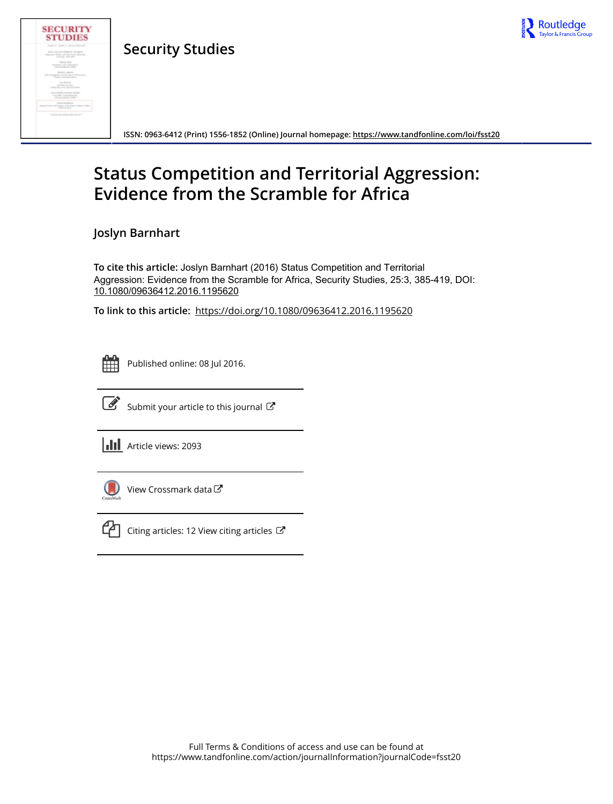

**Security Studies**



**ISSN: 0963-6412 (Print) 1556-1852 (Online) Journal homepage:<https://www.tandfonline.com/loi/fsst20>**

# **Status Competition and Territorial Aggression: Evidence from the Scramble for Africa**

**Joslyn Barnhart**

**To cite this article:** Joslyn Barnhart (2016) Status Competition and Territorial Aggression: Evidence from the Scramble for Africa, Security Studies, 25:3, 385-419, DOI: [10.1080/09636412.2016.1195620](https://www.tandfonline.com/action/showCitFormats?doi=10.1080/09636412.2016.1195620)

**To link to this article:** <https://doi.org/10.1080/09636412.2016.1195620>

Published online: 08 Jul 2016.



 $\overrightarrow{S}$  [Submit your article to this journal](https://www.tandfonline.com/action/authorSubmission?journalCode=fsst20&show=instructions)  $\overrightarrow{S}$ 

**III** Article views: 2093



[View Crossmark data](http://crossmark.crossref.org/dialog/?doi=10.1080/09636412.2016.1195620&domain=pdf&date_stamp=2016-07-08)



 $\mathbb{C}$  [Citing articles: 12 View citing articles](https://www.tandfonline.com/doi/citedby/10.1080/09636412.2016.1195620#tabModule)  $\mathbb{C}^{\bullet}$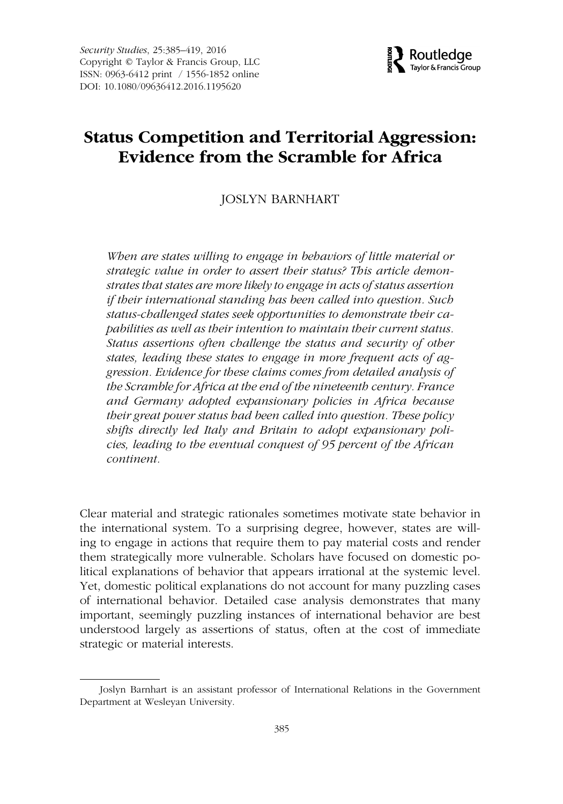

# **Status Competition and Territorial Aggression: Evidence from the Scramble for Africa**

## JOSLYN BARNHART

*When are states willing to engage in behaviors of little material or strategic value in order to assert their status? This article demonstrates that states are more likely to engage in acts of status assertion if their international standing has been called into question. Such status-challenged states seek opportunities to demonstrate their capabilities as well as their intention to maintain their current status. Status assertions often challenge the status and security of other states, leading these states to engage in more frequent acts of aggression. Evidence for these claims comes from detailed analysis of the Scramble for Africa at the end of the nineteenth century. France and Germany adopted expansionary policies in Africa because their great power status had been called into question. These policy shifts directly led Italy and Britain to adopt expansionary policies, leading to the eventual conquest of 95 percent of the African continent.*

Clear material and strategic rationales sometimes motivate state behavior in the international system. To a surprising degree, however, states are willing to engage in actions that require them to pay material costs and render them strategically more vulnerable. Scholars have focused on domestic political explanations of behavior that appears irrational at the systemic level. Yet, domestic political explanations do not account for many puzzling cases of international behavior. Detailed case analysis demonstrates that many important, seemingly puzzling instances of international behavior are best understood largely as assertions of status, often at the cost of immediate strategic or material interests.

Joslyn Barnhart is an assistant professor of International Relations in the Government Department at Wesleyan University.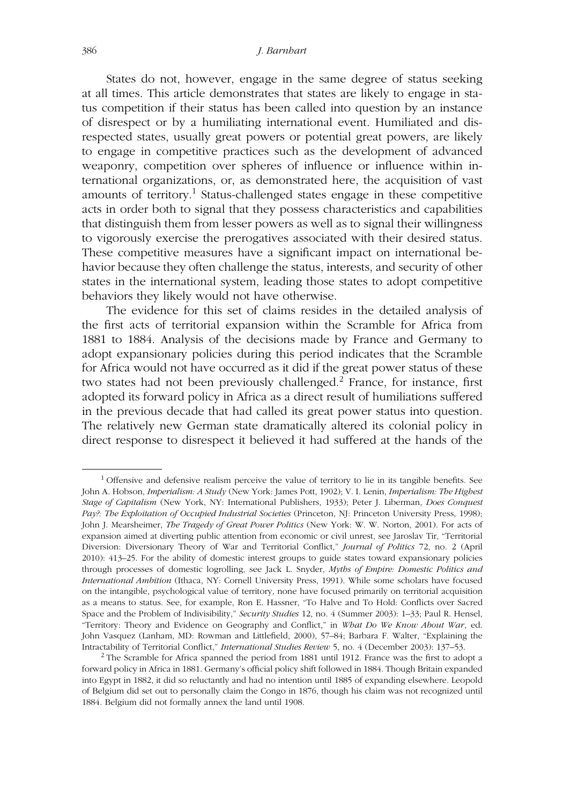States do not, however, engage in the same degree of status seeking at all times. This article demonstrates that states are likely to engage in status competition if their status has been called into question by an instance of disrespect or by a humiliating international event. Humiliated and disrespected states, usually great powers or potential great powers, are likely to engage in competitive practices such as the development of advanced weaponry, competition over spheres of influence or influence within international organizations, or, as demonstrated here, the acquisition of vast amounts of territory.<sup>1</sup> Status-challenged states engage in these competitive acts in order both to signal that they possess characteristics and capabilities that distinguish them from lesser powers as well as to signal their willingness to vigorously exercise the prerogatives associated with their desired status. These competitive measures have a significant impact on international behavior because they often challenge the status, interests, and security of other states in the international system, leading those states to adopt competitive behaviors they likely would not have otherwise.

The evidence for this set of claims resides in the detailed analysis of the first acts of territorial expansion within the Scramble for Africa from 1881 to 1884. Analysis of the decisions made by France and Germany to adopt expansionary policies during this period indicates that the Scramble for Africa would not have occurred as it did if the great power status of these two states had not been previously challenged.<sup>2</sup> France, for instance, first adopted its forward policy in Africa as a direct result of humiliations suffered in the previous decade that had called its great power status into question. The relatively new German state dramatically altered its colonial policy in direct response to disrespect it believed it had suffered at the hands of the

<sup>&</sup>lt;sup>1</sup> Offensive and defensive realism perceive the value of territory to lie in its tangible benefits. See John A. Hobson, *Imperialism: A Study* (New York: James Pott, 1902); V. I. Lenin, *Imperialism: The Highest Stage of Capitalism* (New York, NY: International Publishers, 1933); Peter J. Liberman, *Does Conquest Pay?: The Exploitation of Occupied Industrial Societies* (Princeton, NJ: Princeton University Press, 1998); John J. Mearsheimer, *The Tragedy of Great Power Politics* (New York: W. W. Norton, 2001). For acts of expansion aimed at diverting public attention from economic or civil unrest, see Jaroslav Tir, "Territorial Diversion: Diversionary Theory of War and Territorial Conflict," *Journal of Politics* 72, no. 2 (April 2010): 413–25. For the ability of domestic interest groups to guide states toward expansionary policies through processes of domestic logrolling, see Jack L. Snyder, *Myths of Empire: Domestic Politics and International Ambition* (Ithaca, NY: Cornell University Press, 1991). While some scholars have focused on the intangible, psychological value of territory, none have focused primarily on territorial acquisition as a means to status. See, for example, Ron E. Hassner, "To Halve and To Hold: Conflicts over Sacred Space and the Problem of Indivisibility," *Security Studies* 12, no. 4 (Summer 2003): 1–33; Paul R. Hensel, "Territory: Theory and Evidence on Geography and Conflict," in *What Do We Know About War*, ed. John Vasquez (Lanham, MD: Rowman and Littlefield, 2000), 57–84; Barbara F. Walter, "Explaining the Intractability of Territorial Conflict," *International Studies Review* 5, no. 4 (December 2003): 137–53.

<sup>&</sup>lt;sup>2</sup> The Scramble for Africa spanned the period from 1881 until 1912. France was the first to adopt a forward policy in Africa in 1881. Germany's official policy shift followed in 1884. Though Britain expanded into Egypt in 1882, it did so reluctantly and had no intention until 1885 of expanding elsewhere. Leopold of Belgium did set out to personally claim the Congo in 1876, though his claim was not recognized until 1884. Belgium did not formally annex the land until 1908.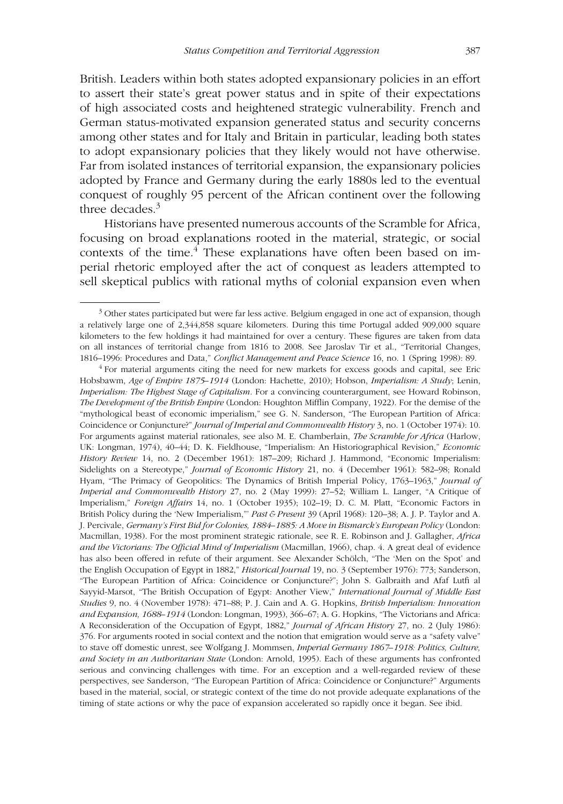British. Leaders within both states adopted expansionary policies in an effort to assert their state's great power status and in spite of their expectations of high associated costs and heightened strategic vulnerability. French and German status-motivated expansion generated status and security concerns among other states and for Italy and Britain in particular, leading both states to adopt expansionary policies that they likely would not have otherwise. Far from isolated instances of territorial expansion, the expansionary policies adopted by France and Germany during the early 1880s led to the eventual conquest of roughly 95 percent of the African continent over the following three decades.<sup>3</sup>

Historians have presented numerous accounts of the Scramble for Africa, focusing on broad explanations rooted in the material, strategic, or social contexts of the time.<sup>4</sup> These explanations have often been based on imperial rhetoric employed after the act of conquest as leaders attempted to sell skeptical publics with rational myths of colonial expansion even when

<sup>&</sup>lt;sup>3</sup> Other states participated but were far less active. Belgium engaged in one act of expansion, though a relatively large one of 2,344,858 square kilometers. During this time Portugal added 909,000 square kilometers to the few holdings it had maintained for over a century. These figures are taken from data on all instances of territorial change from 1816 to 2008. See Jaroslav Tir et al., "Territorial Changes, 1816–1996: Procedures and Data," *Conflict Management and Peace Science* 16, no. 1 (Spring 1998): 89.

 $4$  For material arguments citing the need for new markets for excess goods and capital, see Eric Hobsbawm, *Age of Empire 1875–1914* (London: Hachette, 2010); Hobson, *Imperialism: A Study*; Lenin, *Imperialism: The Highest Stage of Capitalism*. For a convincing counterargument, see Howard Robinson, *The Development of the British Empire* (London: Houghton Mifflin Company, 1922). For the demise of the "mythological beast of economic imperialism," see G. N. Sanderson, "The European Partition of Africa: Coincidence or Conjuncture?" *Journal of Imperial and Commonwealth History* 3, no. 1 (October 1974): 10. For arguments against material rationales, see also M. E. Chamberlain, *The Scramble for Africa* (Harlow, UK: Longman, 1974), 40–44; D. K. Fieldhouse, "Imperialism: An Historiographical Revision," *Economic History Review* 14, no. 2 (December 1961): 187–209; Richard J. Hammond, "Economic Imperialism: Sidelights on a Stereotype," *Journal of Economic History* 21, no. 4 (December 1961): 582–98; Ronald Hyam, "The Primacy of Geopolitics: The Dynamics of British Imperial Policy, 1763–1963," *Journal of Imperial and Commonwealth History* 27, no. 2 (May 1999): 27–52; William L. Langer, "A Critique of Imperialism," *Foreign Affairs* 14, no. 1 (October 1935); 102–19; D. C. M. Platt, "Economic Factors in British Policy during the 'New Imperialism,"' *Past & Present* 39 (April 1968): 120–38; A. J. P. Taylor and A. J. Percivale, *Germany's First Bid for Colonies, 1884–1885: A Move in Bismarck's European Policy* (London: Macmillan, 1938). For the most prominent strategic rationale, see R. E. Robinson and J. Gallagher, *Africa and the Victorians: The Official Mind of Imperialism* (Macmillan, 1966), chap. 4. A great deal of evidence has also been offered in refute of their argument. See Alexander Schölch, "The 'Men on the Spot' and the English Occupation of Egypt in 1882," *Historical Journal* 19, no. 3 (September 1976): 773; Sanderson, "The European Partition of Africa: Coincidence or Conjuncture?"; John S. Galbraith and Afaf Lutfi al Sayyid-Marsot, "The British Occupation of Egypt: Another View," *International Journal of Middle East Studies* 9, no. 4 (November 1978): 471–88; P. J. Cain and A. G. Hopkins, *British Imperialism: Innovation and Expansion, 1688–1914* (London: Longman, 1993), 366–67; A. G. Hopkins, "The Victorians and Africa: A Reconsideration of the Occupation of Egypt, 1882," *Journal of African History* 27, no. 2 (July 1986): 376. For arguments rooted in social context and the notion that emigration would serve as a "safety valve" to stave off domestic unrest, see Wolfgang J. Mommsen, *Imperial Germany 1867–1918: Politics, Culture, and Society in an Authoritarian State* (London: Arnold, 1995). Each of these arguments has confronted serious and convincing challenges with time. For an exception and a well-regarded review of these perspectives, see Sanderson, "The European Partition of Africa: Coincidence or Conjuncture?" Arguments based in the material, social, or strategic context of the time do not provide adequate explanations of the timing of state actions or why the pace of expansion accelerated so rapidly once it began. See ibid.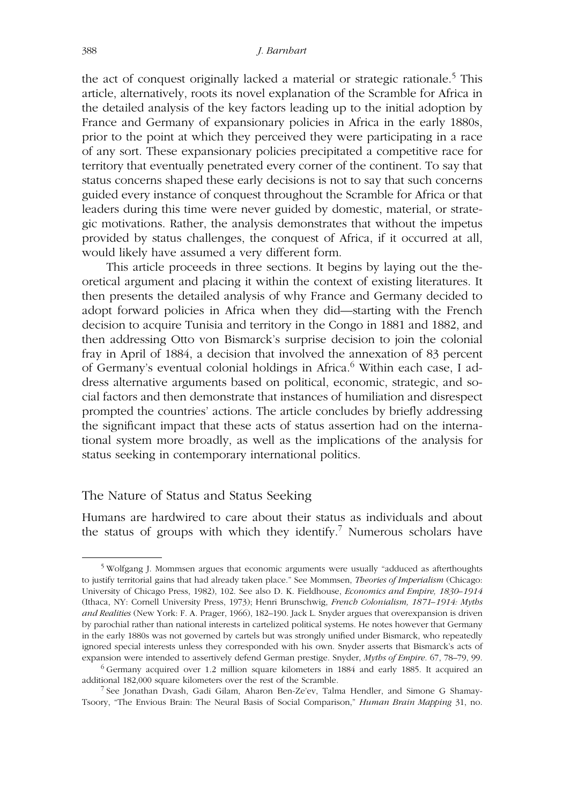the act of conquest originally lacked a material or strategic rationale.<sup>5</sup> This article, alternatively, roots its novel explanation of the Scramble for Africa in the detailed analysis of the key factors leading up to the initial adoption by France and Germany of expansionary policies in Africa in the early 1880s, prior to the point at which they perceived they were participating in a race of any sort. These expansionary policies precipitated a competitive race for territory that eventually penetrated every corner of the continent. To say that status concerns shaped these early decisions is not to say that such concerns guided every instance of conquest throughout the Scramble for Africa or that leaders during this time were never guided by domestic, material, or strategic motivations. Rather, the analysis demonstrates that without the impetus provided by status challenges, the conquest of Africa, if it occurred at all, would likely have assumed a very different form.

This article proceeds in three sections. It begins by laying out the theoretical argument and placing it within the context of existing literatures. It then presents the detailed analysis of why France and Germany decided to adopt forward policies in Africa when they did—starting with the French decision to acquire Tunisia and territory in the Congo in 1881 and 1882, and then addressing Otto von Bismarck's surprise decision to join the colonial fray in April of 1884, a decision that involved the annexation of 83 percent of Germany's eventual colonial holdings in Africa.<sup>6</sup> Within each case, I address alternative arguments based on political, economic, strategic, and social factors and then demonstrate that instances of humiliation and disrespect prompted the countries' actions. The article concludes by briefly addressing the significant impact that these acts of status assertion had on the international system more broadly, as well as the implications of the analysis for status seeking in contemporary international politics.

#### The Nature of Status and Status Seeking

Humans are hardwired to care about their status as individuals and about the status of groups with which they identify.7 Numerous scholars have

<sup>5</sup> Wolfgang J. Mommsen argues that economic arguments were usually "adduced as afterthoughts to justify territorial gains that had already taken place." See Mommsen, *Theories of Imperialism* (Chicago: University of Chicago Press, 1982), 102. See also D. K. Fieldhouse, *Economics and Empire, 1830–1914* (Ithaca, NY: Cornell University Press, 1973); Henri Brunschwig, *French Colonialism, 1871–1914: Myths and Realities* (New York: F. A. Prager, 1966), 182–190. Jack L. Snyder argues that overexpansion is driven by parochial rather than national interests in cartelized political systems. He notes however that Germany in the early 1880s was not governed by cartels but was strongly unified under Bismarck, who repeatedly ignored special interests unless they corresponded with his own. Snyder asserts that Bismarck's acts of expansion were intended to assertively defend German prestige. Snyder, *Myths of Empire.* 67, 78–79, 99.

<sup>6</sup> Germany acquired over 1.2 million square kilometers in 1884 and early 1885. It acquired an additional 182,000 square kilometers over the rest of the Scramble.

<sup>7</sup> See Jonathan Dvash, Gadi Gilam, Aharon Ben-Ze'ev, Talma Hendler, and Simone G Shamay-Tsoory, "The Envious Brain: The Neural Basis of Social Comparison," *Human Brain Mapping* 31, no.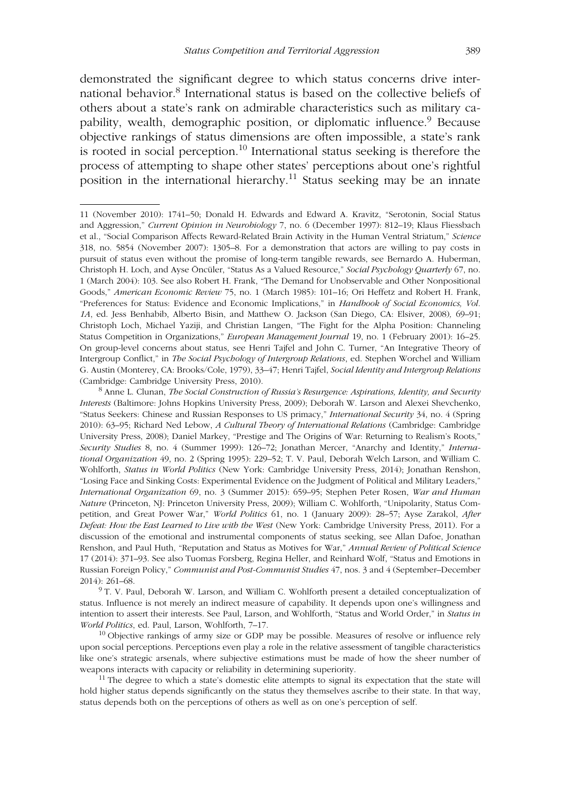demonstrated the significant degree to which status concerns drive international behavior.<sup>8</sup> International status is based on the collective beliefs of others about a state's rank on admirable characteristics such as military capability, wealth, demographic position, or diplomatic influence.<sup>9</sup> Because objective rankings of status dimensions are often impossible, a state's rank is rooted in social perception.<sup>10</sup> International status seeking is therefore the process of attempting to shape other states' perceptions about one's rightful position in the international hierarchy.<sup>11</sup> Status seeking may be an innate

<sup>9</sup> T. V. Paul, Deborah W. Larson, and William C. Wohlforth present a detailed conceptualization of status. Influence is not merely an indirect measure of capability. It depends upon one's willingness and intention to assert their interests. See Paul, Larson, and Wohlforth, "Status and World Order," in *Status in World Politics*, ed. Paul, Larson, Wohlforth, 7–17.

 $10$  Objective rankings of army size or GDP may be possible. Measures of resolve or influence rely upon social perceptions. Perceptions even play a role in the relative assessment of tangible characteristics like one's strategic arsenals, where subjective estimations must be made of how the sheer number of weapons interacts with capacity or reliability in determining superiority.

 $11$  The degree to which a state's domestic elite attempts to signal its expectation that the state will hold higher status depends significantly on the status they themselves ascribe to their state. In that way, status depends both on the perceptions of others as well as on one's perception of self.

<sup>11 (</sup>November 2010): 1741–50; Donald H. Edwards and Edward A. Kravitz, "Serotonin, Social Status and Aggression," *Current Opinion in Neurobiology* 7, no. 6 (December 1997): 812–19; Klaus Fliessbach et al., "Social Comparison Affects Reward-Related Brain Activity in the Human Ventral Striatum," *Science* 318, no. 5854 (November 2007): 1305–8. For a demonstration that actors are willing to pay costs in pursuit of status even without the promise of long-term tangible rewards, see Bernardo A. Huberman, Christoph H. Loch, and Ayse Öncüler, "Status As a Valued Resource," Social Psychology Quarterly 67, no. 1 (March 2004): 103. See also Robert H. Frank, "The Demand for Unobservable and Other Nonpositional Goods," *American Economic Review* 75, no. 1 (March 1985): 101–16; Ori Heffetz and Robert H. Frank, "Preferences for Status: Evidence and Economic Implications," in *Handbook of Social Economics, Vol. 1A*, ed. Jess Benhabib, Alberto Bisin, and Matthew O. Jackson (San Diego, CA: Elsiver, 2008)*,* 69–91; Christoph Loch, Michael Yaziji, and Christian Langen, "The Fight for the Alpha Position: Channeling Status Competition in Organizations," *European Management Journal* 19, no. 1 (February 2001): 16–25. On group-level concerns about status, see Henri Tajfel and John C. Turner, "An Integrative Theory of Intergroup Conflict," in *The Social Psychology of Intergroup Relations*, ed. Stephen Worchel and William G. Austin (Monterey, CA: Brooks/Cole, 1979), 33–47; Henri Tajfel, *Social Identity and Intergroup Relations* (Cambridge: Cambridge University Press, 2010).

<sup>8</sup> Anne L. Clunan, *The Social Construction of Russia's Resurgence: Aspirations, Identity, and Security Interests* (Baltimore: Johns Hopkins University Press, 2009); Deborah W. Larson and Alexei Shevchenko, "Status Seekers: Chinese and Russian Responses to US primacy," *International Security* 34, no. 4 (Spring 2010): 63–95; Richard Ned Lebow, *A Cultural Theory of International Relations* (Cambridge: Cambridge University Press, 2008); Daniel Markey, "Prestige and The Origins of War: Returning to Realism's Roots," *Security Studies* 8, no. 4 (Summer 1999): 126–72; Jonathan Mercer, "Anarchy and Identity," *International Organization* 49, no. 2 (Spring 1995): 229–52; T. V. Paul, Deborah Welch Larson, and William C. Wohlforth, *Status in World Politics* (New York: Cambridge University Press, 2014); Jonathan Renshon, "Losing Face and Sinking Costs: Experimental Evidence on the Judgment of Political and Military Leaders," *International Organization* 69, no. 3 (Summer 2015): 659–95; Stephen Peter Rosen, *War and Human Nature* (Princeton, NJ: Princeton University Press, 2009); William C. Wohlforth, "Unipolarity, Status Competition, and Great Power War," *World Politics* 61, no. 1 (January 2009): 28–57; Ayse Zarakol, *After Defeat: How the East Learned to Live with the West* (New York: Cambridge University Press, 2011). For a discussion of the emotional and instrumental components of status seeking, see Allan Dafoe, Jonathan Renshon, and Paul Huth, "Reputation and Status as Motives for War," *Annual Review of Political Science* 17 (2014): 371–93. See also Tuomas Forsberg, Regina Heller, and Reinhard Wolf, "Status and Emotions in Russian Foreign Policy," *Communist and Post-Communist Studies* 47, nos. 3 and 4 (September–December 2014): 261–68.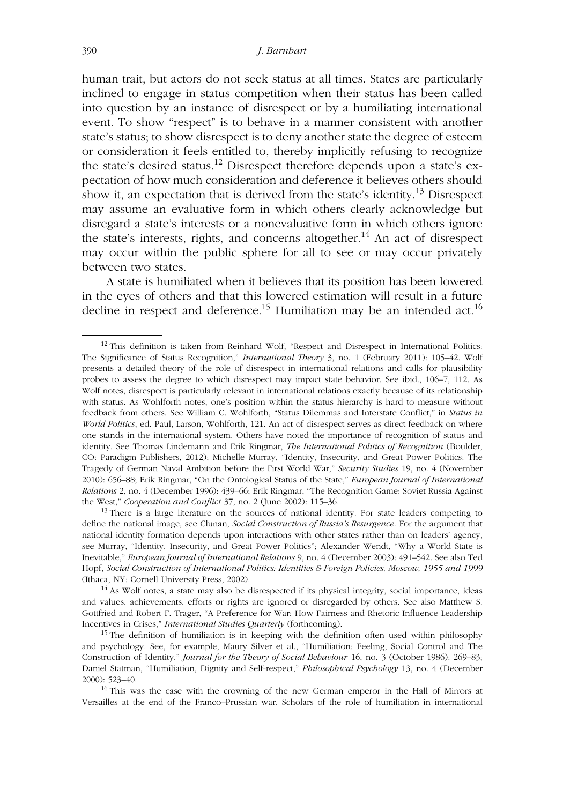human trait, but actors do not seek status at all times. States are particularly inclined to engage in status competition when their status has been called into question by an instance of disrespect or by a humiliating international event. To show "respect" is to behave in a manner consistent with another state's status; to show disrespect is to deny another state the degree of esteem or consideration it feels entitled to, thereby implicitly refusing to recognize the state's desired status.<sup>12</sup> Disrespect therefore depends upon a state's expectation of how much consideration and deference it believes others should show it, an expectation that is derived from the state's identity.<sup>13</sup> Disrespect may assume an evaluative form in which others clearly acknowledge but disregard a state's interests or a nonevaluative form in which others ignore the state's interests, rights, and concerns altogether.<sup>14</sup> An act of disrespect may occur within the public sphere for all to see or may occur privately between two states.

A state is humiliated when it believes that its position has been lowered in the eyes of others and that this lowered estimation will result in a future decline in respect and deference.<sup>15</sup> Humiliation may be an intended act.<sup>16</sup>

<sup>&</sup>lt;sup>12</sup> This definition is taken from Reinhard Wolf, "Respect and Disrespect in International Politics: The Significance of Status Recognition," *International Theory* 3, no. 1 (February 2011): 105–42. Wolf presents a detailed theory of the role of disrespect in international relations and calls for plausibility probes to assess the degree to which disrespect may impact state behavior. See ibid., 106–7, 112. As Wolf notes, disrespect is particularly relevant in international relations exactly because of its relationship with status. As Wohlforth notes, one's position within the status hierarchy is hard to measure without feedback from others. See William C. Wohlforth, "Status Dilemmas and Interstate Conflict," in *Status in World Politics*, ed. Paul, Larson, Wohlforth, 121. An act of disrespect serves as direct feedback on where one stands in the international system. Others have noted the importance of recognition of status and identity. See Thomas Lindemann and Erik Ringmar, *The International Politics of Recognition* (Boulder, CO: Paradigm Publishers, 2012); Michelle Murray, "Identity, Insecurity, and Great Power Politics: The Tragedy of German Naval Ambition before the First World War," *Security Studies* 19, no. 4 (November 2010): 656–88; Erik Ringmar, "On the Ontological Status of the State," *European Journal of International Relations* 2, no. 4 (December 1996): 439–66; Erik Ringmar, "The Recognition Game: Soviet Russia Against the West," *Cooperation and Conflict* 37, no. 2 (June 2002): 115–36.

<sup>&</sup>lt;sup>13</sup> There is a large literature on the sources of national identity. For state leaders competing to define the national image, see Clunan, *Social Construction of Russia's Resurgence.* For the argument that national identity formation depends upon interactions with other states rather than on leaders' agency, see Murray, "Identity, Insecurity, and Great Power Politics"; Alexander Wendt, "Why a World State is Inevitable," *European Journal of International Relations* 9, no. 4 (December 2003): 491–542. See also Ted Hopf, *Social Construction of International Politics: Identities & Foreign Policies, Moscow, 1955 and 1999* (Ithaca, NY: Cornell University Press, 2002).

<sup>&</sup>lt;sup>14</sup> As Wolf notes, a state may also be disrespected if its physical integrity, social importance, ideas and values, achievements, efforts or rights are ignored or disregarded by others. See also Matthew S. Gottfried and Robert F. Trager, "A Preference for War: How Fairness and Rhetoric Influence Leadership Incentives in Crises," *International Studies Quarterly* (forthcoming).

<sup>&</sup>lt;sup>15</sup> The definition of humiliation is in keeping with the definition often used within philosophy and psychology. See, for example, Maury Silver et al., "Humiliation: Feeling, Social Control and The Construction of Identity," *Journal for the Theory of Social Behaviour* 16, no. 3 (October 1986): 269–83; Daniel Statman, "Humiliation, Dignity and Self-respect," *Philosophical Psychology* 13, no. 4 (December 2000): 523–40.

<sup>&</sup>lt;sup>16</sup> This was the case with the crowning of the new German emperor in the Hall of Mirrors at Versailles at the end of the Franco–Prussian war. Scholars of the role of humiliation in international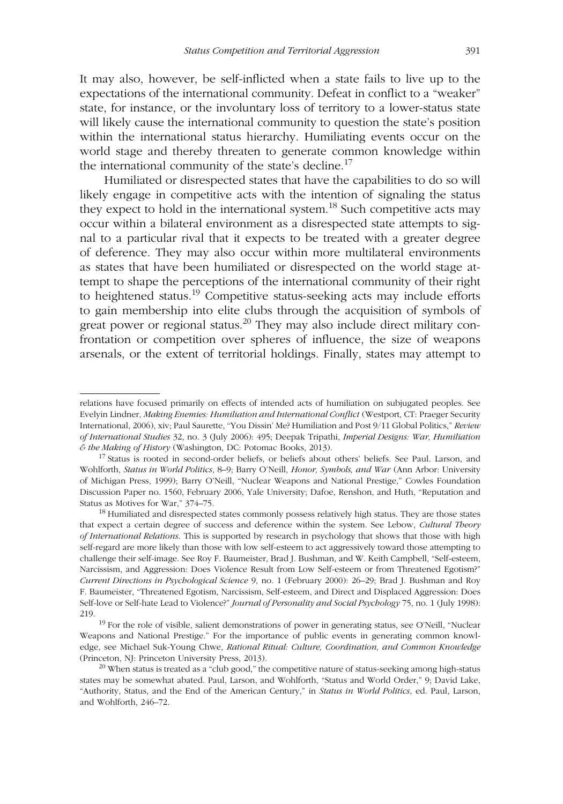It may also, however, be self-inflicted when a state fails to live up to the expectations of the international community. Defeat in conflict to a "weaker" state, for instance, or the involuntary loss of territory to a lower-status state will likely cause the international community to question the state's position within the international status hierarchy. Humiliating events occur on the world stage and thereby threaten to generate common knowledge within the international community of the state's decline.<sup>17</sup>

Humiliated or disrespected states that have the capabilities to do so will likely engage in competitive acts with the intention of signaling the status they expect to hold in the international system.<sup>18</sup> Such competitive acts may occur within a bilateral environment as a disrespected state attempts to signal to a particular rival that it expects to be treated with a greater degree of deference. They may also occur within more multilateral environments as states that have been humiliated or disrespected on the world stage attempt to shape the perceptions of the international community of their right to heightened status.<sup>19</sup> Competitive status-seeking acts may include efforts to gain membership into elite clubs through the acquisition of symbols of great power or regional status.<sup>20</sup> They may also include direct military confrontation or competition over spheres of influence, the size of weapons arsenals, or the extent of territorial holdings. Finally, states may attempt to

relations have focused primarily on effects of intended acts of humiliation on subjugated peoples. See Evelyin Lindner, *Making Enemies: Humiliation and International Conflict* (Westport, CT: Praeger Security International, 2006), xiv; Paul Saurette, "You Dissin' Me? Humiliation and Post 9/11 Global Politics," *Review of International Studies* 32, no. 3 (July 2006): 495; Deepak Tripathi, *Imperial Designs: War, Humiliation & the Making of History* (Washington, DC: Potomac Books, 2013).

<sup>&</sup>lt;sup>17</sup> Status is rooted in second-order beliefs, or beliefs about others' beliefs. See Paul. Larson, and Wohlforth, *Status in World Politics*, 8–9; Barry O'Neill, *Honor, Symbols, and War* (Ann Arbor: University of Michigan Press, 1999); Barry O'Neill, "Nuclear Weapons and National Prestige," Cowles Foundation Discussion Paper no. 1560, February 2006, Yale University; Dafoe, Renshon, and Huth, "Reputation and Status as Motives for War," 374–75.

<sup>&</sup>lt;sup>18</sup> Humiliated and disrespected states commonly possess relatively high status. They are those states that expect a certain degree of success and deference within the system. See Lebow, *Cultural Theory of International Relations*. This is supported by research in psychology that shows that those with high self-regard are more likely than those with low self-esteem to act aggressively toward those attempting to challenge their self-image. See Roy F. Baumeister, Brad J. Bushman, and W. Keith Campbell, "Self-esteem, Narcissism, and Aggression: Does Violence Result from Low Self-esteem or from Threatened Egotism?" *Current Directions in Psychological Science* 9, no. 1 (February 2000): 26–29; Brad J. Bushman and Roy F. Baumeister, "Threatened Egotism, Narcissism, Self-esteem, and Direct and Displaced Aggression: Does Self-love or Self-hate Lead to Violence?" *Journal of Personality and Social Psychology* 75, no. 1 (July 1998): 219.

<sup>&</sup>lt;sup>19</sup> For the role of visible, salient demonstrations of power in generating status, see O'Neill, "Nuclear Weapons and National Prestige." For the importance of public events in generating common knowledge, see Michael Suk-Young Chwe, *Rational Ritual: Culture, Coordination, and Common Knowledge* (Princeton, NJ: Princeton University Press, 2013).

<sup>&</sup>lt;sup>20</sup> When status is treated as a "club good," the competitive nature of status-seeking among high-status states may be somewhat abated. Paul, Larson, and Wohlforth, "Status and World Order," 9; David Lake, "Authority, Status, and the End of the American Century," in *Status in World Politics*, ed. Paul, Larson, and Wohlforth, 246–72.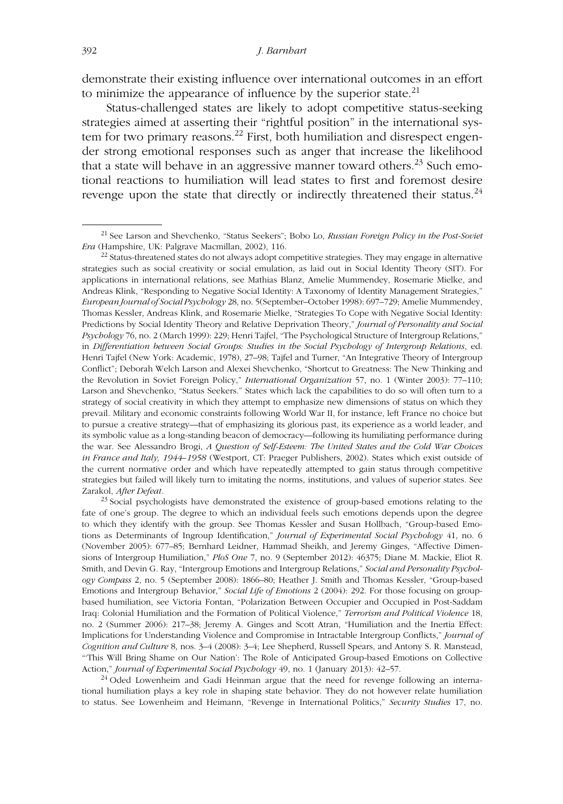demonstrate their existing influence over international outcomes in an effort to minimize the appearance of influence by the superior state. $^{21}$ 

Status-challenged states are likely to adopt competitive status-seeking strategies aimed at asserting their "rightful position" in the international system for two primary reasons.<sup>22</sup> First, both humiliation and disrespect engender strong emotional responses such as anger that increase the likelihood that a state will behave in an aggressive manner toward others.<sup>23</sup> Such emotional reactions to humiliation will lead states to first and foremost desire revenge upon the state that directly or indirectly threatened their status.<sup>24</sup>

<sup>22</sup> Status-threatened states do not always adopt competitive strategies. They may engage in alternative strategies such as social creativity or social emulation, as laid out in Social Identity Theory (SIT). For applications in international relations, see Mathias Blanz, Amelie Mummendey, Rosemarie Mielke, and Andreas Klink, "Responding to Negative Social Identity: A Taxonomy of Identity Management Strategies," *European Journal of Social Psychology* 28, no. 5(September–October 1998): 697–729; Amelie Mummendey, Thomas Kessler, Andreas Klink, and Rosemarie Mielke, "Strategies To Cope with Negative Social Identity: Predictions by Social Identity Theory and Relative Deprivation Theory," *Journal of Personality and Social Psychology* 76, no. 2 (March 1999): 229; Henri Tajfel, "The Psychological Structure of Intergroup Relations," in *Differentiation between Social Groups: Studies in the Social Psychology of Intergroup Relations*, ed. Henri Tajfel (New York: Academic, 1978), 27–98; Tajfel and Turner, "An Integrative Theory of Intergroup Conflict"; Deborah Welch Larson and Alexei Shevchenko, "Shortcut to Greatness: The New Thinking and the Revolution in Soviet Foreign Policy," *International Organization* 57, no. 1 (Winter 2003): 77–110; Larson and Shevchenko, "Status Seekers." States which lack the capabilities to do so will often turn to a strategy of social creativity in which they attempt to emphasize new dimensions of status on which they prevail. Military and economic constraints following World War II, for instance, left France no choice but to pursue a creative strategy—that of emphasizing its glorious past, its experience as a world leader, and its symbolic value as a long-standing beacon of democracy—following its humiliating performance during the war. See Alessandro Brogi, *A Question of Self-Esteem: The United States and the Cold War Choices in France and Italy, 1944–1958* (Westport, CT: Praeger Publishers, 2002). States which exist outside of the current normative order and which have repeatedly attempted to gain status through competitive strategies but failed will likely turn to imitating the norms, institutions, and values of superior states. See Zarakol, *After Defeat*.

 $23$  Social psychologists have demonstrated the existence of group-based emotions relating to the fate of one's group. The degree to which an individual feels such emotions depends upon the degree to which they identify with the group. See Thomas Kessler and Susan Hollbach, "Group-based Emotions as Determinants of Ingroup Identification," *Journal of Experimental Social Psychology* 41, no. 6 (November 2005): 677–85; Bernhard Leidner, Hammad Sheikh, and Jeremy Ginges, "Affective Dimensions of Intergroup Humiliation," *PloS One* 7, no. 9 (September 2012): 46375; Diane M. Mackie, Eliot R. Smith, and Devin G. Ray, "Intergroup Emotions and Intergroup Relations," *Social and Personality Psychology Compass* 2, no. 5 (September 2008): 1866–80; Heather J. Smith and Thomas Kessler, "Group-based Emotions and Intergroup Behavior," *Social Life of Emotions* 2 (2004): 292. For those focusing on groupbased humiliation, see Victoria Fontan, "Polarization Between Occupier and Occupied in Post-Saddam Iraq: Colonial Humiliation and the Formation of Political Violence," *Terrorism and Political Violence* 18, no. 2 (Summer 2006): 217–38; Jeremy A. Ginges and Scott Atran, "Humiliation and the Inertia Effect: Implications for Understanding Violence and Compromise in Intractable Intergroup Conflicts," *Journal of Cognition and Culture* 8, nos. 3–4 (2008): 3–4; Lee Shepherd, Russell Spears, and Antony S. R. Manstead, "'This Will Bring Shame on Our Nation': The Role of Anticipated Group-based Emotions on Collective Action," *Journal of Experimental Social Psychology* 49, no. 1 (January 2013): 42–57.

 $24$  Oded Lowenheim and Gadi Heinman argue that the need for revenge following an international humiliation plays a key role in shaping state behavior. They do not however relate humiliation to status. See Lowenheim and Heimann, "Revenge in International Politics," *Security Studies* 17, no.

<sup>21</sup> See Larson and Shevchenko, "Status Seekers"; Bobo Lo, *Russian Foreign Policy in the Post-Soviet Era* (Hampshire, UK: Palgrave Macmillan, 2002), 116.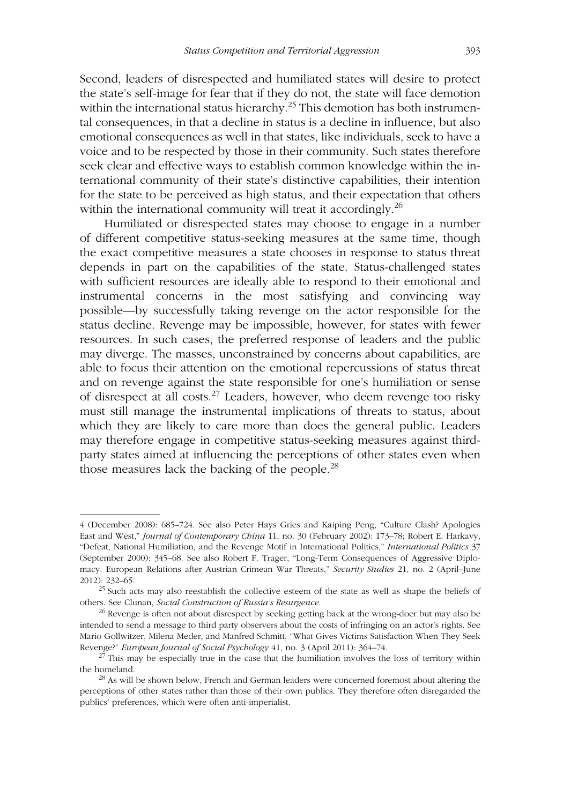Second, leaders of disrespected and humiliated states will desire to protect the state's self-image for fear that if they do not, the state will face demotion within the international status hierarchy.<sup>25</sup> This demotion has both instrumental consequences, in that a decline in status is a decline in influence, but also emotional consequences as well in that states, like individuals, seek to have a voice and to be respected by those in their community. Such states therefore seek clear and effective ways to establish common knowledge within the international community of their state's distinctive capabilities, their intention for the state to be perceived as high status, and their expectation that others within the international community will treat it accordingly.<sup>26</sup>

Humiliated or disrespected states may choose to engage in a number of different competitive status-seeking measures at the same time, though the exact competitive measures a state chooses in response to status threat depends in part on the capabilities of the state. Status-challenged states with sufficient resources are ideally able to respond to their emotional and instrumental concerns in the most satisfying and convincing way possible—by successfully taking revenge on the actor responsible for the status decline. Revenge may be impossible, however, for states with fewer resources. In such cases, the preferred response of leaders and the public may diverge. The masses, unconstrained by concerns about capabilities, are able to focus their attention on the emotional repercussions of status threat and on revenge against the state responsible for one's humiliation or sense of disrespect at all costs.<sup>27</sup> Leaders, however, who deem revenge too risky must still manage the instrumental implications of threats to status, about which they are likely to care more than does the general public. Leaders may therefore engage in competitive status-seeking measures against thirdparty states aimed at influencing the perceptions of other states even when those measures lack the backing of the people. $^{28}$ 

<sup>4 (</sup>December 2008): 685–724. See also Peter Hays Gries and Kaiping Peng, "Culture Clash? Apologies East and West," *Journal of Contemporary China* 11, no. 30 (February 2002): 173–78; Robert E. Harkavy, "Defeat, National Humiliation, and the Revenge Motif in International Politics," *International Politics* 37 (September 2000): 345–68. See also Robert F. Trager, "Long-Term Consequences of Aggressive Diplomacy: European Relations after Austrian Crimean War Threats," *Security Studies* 21, no. 2 (April–June 2012): 232–65.

<sup>&</sup>lt;sup>25</sup> Such acts may also reestablish the collective esteem of the state as well as shape the beliefs of others. See Clunan, *Social Construction of Russia's Resurgence*.

<sup>&</sup>lt;sup>26</sup> Revenge is often not about disrespect by seeking getting back at the wrong-doer but may also be intended to send a message to third party observers about the costs of infringing on an actor's rights. See Mario Gollwitzer, Milena Meder, and Manfred Schmitt, "What Gives Victims Satisfaction When They Seek Revenge?" *European Journal of Social Psychology* 41, no. 3 (April 2011): 364–74.

 $27$  This may be especially true in the case that the humiliation involves the loss of territory within the homeland.

<sup>&</sup>lt;sup>28</sup> As will be shown below, French and German leaders were concerned foremost about altering the perceptions of other states rather than those of their own publics. They therefore often disregarded the publics' preferences, which were often anti-imperialist.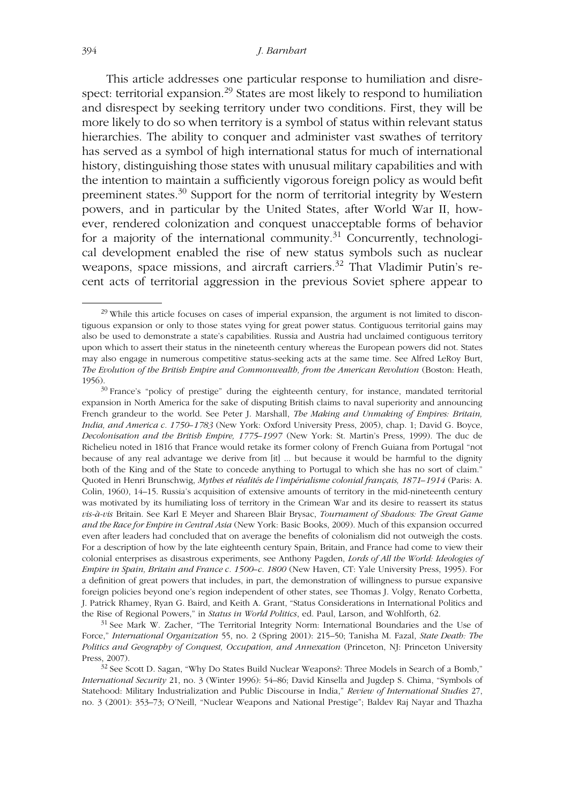This article addresses one particular response to humiliation and disrespect: territorial expansion.<sup>29</sup> States are most likely to respond to humiliation and disrespect by seeking territory under two conditions. First, they will be more likely to do so when territory is a symbol of status within relevant status hierarchies. The ability to conquer and administer vast swathes of territory has served as a symbol of high international status for much of international history, distinguishing those states with unusual military capabilities and with the intention to maintain a sufficiently vigorous foreign policy as would befit preeminent states.<sup>30</sup> Support for the norm of territorial integrity by Western powers, and in particular by the United States, after World War II, however, rendered colonization and conquest unacceptable forms of behavior for a majority of the international community.<sup>31</sup> Concurrently, technological development enabled the rise of new status symbols such as nuclear weapons, space missions, and aircraft carriers.<sup>32</sup> That Vladimir Putin's recent acts of territorial aggression in the previous Soviet sphere appear to

 $31$  See Mark W. Zacher, "The Territorial Integrity Norm: International Boundaries and the Use of Force," *International Organization* 55, no. 2 (Spring 2001): 215–50; Tanisha M. Fazal, *State Death: The Politics and Geography of Conquest, Occupation, and Annexation* (Princeton, NJ: Princeton University Press, 2007).

<sup>32</sup> See Scott D. Sagan, "Why Do States Build Nuclear Weapons?: Three Models in Search of a Bomb," *International Security* 21, no. 3 (Winter 1996): 54–86; David Kinsella and Jugdep S. Chima, "Symbols of Statehood: Military Industrialization and Public Discourse in India," *Review of International Studies* 27, no. 3 (2001): 353–73; O'Neill, "Nuclear Weapons and National Prestige"; Baldev Raj Nayar and Thazha

 $29$  While this article focuses on cases of imperial expansion, the argument is not limited to discontiguous expansion or only to those states vying for great power status. Contiguous territorial gains may also be used to demonstrate a state's capabilities. Russia and Austria had unclaimed contiguous territory upon which to assert their status in the nineteenth century whereas the European powers did not. States may also engage in numerous competitive status-seeking acts at the same time. See Alfred LeRoy Burt, *The Evolution of the British Empire and Commonwealth, from the American Revolution* (Boston: Heath, 1956).<br> $30$  France's "policy of prestige" during the eighteenth century, for instance, mandated territorial

expansion in North America for the sake of disputing British claims to naval superiority and announcing French grandeur to the world. See Peter J. Marshall, *The Making and Unmaking of Empires: Britain, India, and America c. 1750–1783* (New York: Oxford University Press, 2005), chap. 1; David G. Boyce, *Decolonisation and the British Empire, 1775–1997* (New York: St. Martin's Press, 1999). The duc de Richelieu noted in 1816 that France would retake its former colony of French Guiana from Portugal "not because of any real advantage we derive from [it] ... but because it would be harmful to the dignity both of the King and of the State to concede anything to Portugal to which she has no sort of claim." Quoted in Henri Brunschwig, *Mythes et réalités de l'impérialisme colonial français, 1871–1914* (Paris: A. Colin, 1960), 14–15. Russia's acquisition of extensive amounts of territory in the mid-nineteenth century was motivated by its humiliating loss of territory in the Crimean War and its desire to reassert its status *vis-a-vis `* Britain. See Karl E Meyer and Shareen Blair Brysac, *Tournament of Shadows: The Great Game and the Race for Empire in Central Asia* (New York: Basic Books, 2009). Much of this expansion occurred even after leaders had concluded that on average the benefits of colonialism did not outweigh the costs. For a description of how by the late eighteenth century Spain, Britain, and France had come to view their colonial enterprises as disastrous experiments, see Anthony Pagden, *Lords of All the World: Ideologies of Empire in Spain, Britain and France c. 1500–c. 1800* (New Haven, CT: Yale University Press, 1995). For a definition of great powers that includes, in part, the demonstration of willingness to pursue expansive foreign policies beyond one's region independent of other states, see Thomas J. Volgy, Renato Corbetta, J. Patrick Rhamey, Ryan G. Baird, and Keith A. Grant, "Status Considerations in International Politics and the Rise of Regional Powers," in *Status in World Politics*, ed. Paul, Larson, and Wohlforth, 62.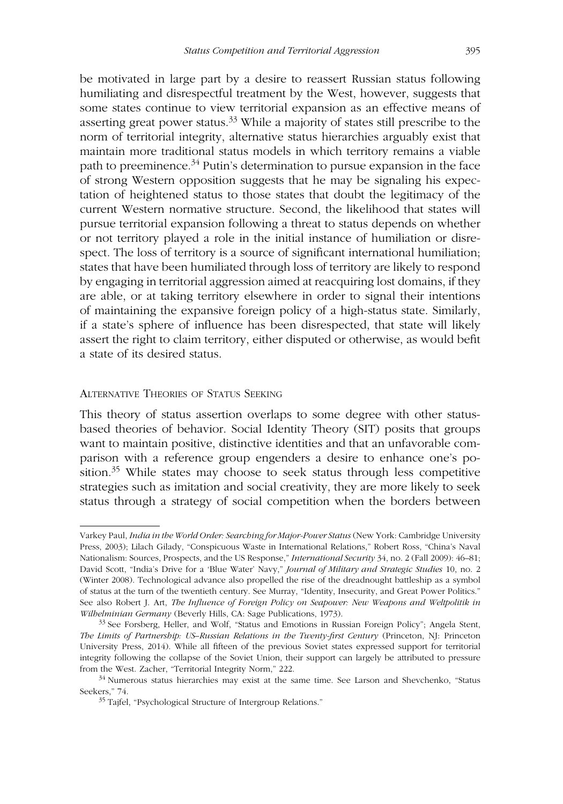be motivated in large part by a desire to reassert Russian status following humiliating and disrespectful treatment by the West, however, suggests that some states continue to view territorial expansion as an effective means of asserting great power status.<sup>33</sup> While a majority of states still prescribe to the norm of territorial integrity, alternative status hierarchies arguably exist that maintain more traditional status models in which territory remains a viable path to preeminence.<sup>34</sup> Putin's determination to pursue expansion in the face of strong Western opposition suggests that he may be signaling his expectation of heightened status to those states that doubt the legitimacy of the current Western normative structure. Second, the likelihood that states will pursue territorial expansion following a threat to status depends on whether or not territory played a role in the initial instance of humiliation or disrespect. The loss of territory is a source of significant international humiliation; states that have been humiliated through loss of territory are likely to respond by engaging in territorial aggression aimed at reacquiring lost domains, if they are able, or at taking territory elsewhere in order to signal their intentions of maintaining the expansive foreign policy of a high-status state. Similarly, if a state's sphere of influence has been disrespected, that state will likely assert the right to claim territory, either disputed or otherwise, as would befit a state of its desired status.

#### ALTERNATIVE THEORIES OF STATUS SEEKING

This theory of status assertion overlaps to some degree with other statusbased theories of behavior. Social Identity Theory (SIT) posits that groups want to maintain positive, distinctive identities and that an unfavorable comparison with a reference group engenders a desire to enhance one's position.<sup>35</sup> While states may choose to seek status through less competitive strategies such as imitation and social creativity, they are more likely to seek status through a strategy of social competition when the borders between

Varkey Paul, *India in the World Order: Searching for Major-Power Status* (New York: Cambridge University Press, 2003); Lilach Gilady, "Conspicuous Waste in International Relations," Robert Ross, "China's Naval Nationalism: Sources, Prospects, and the US Response," *International Security* 34, no. 2 (Fall 2009): 46–81; David Scott, "India's Drive for a 'Blue Water' Navy," *Journal of Military and Strategic Studies* 10, no. 2 (Winter 2008). Technological advance also propelled the rise of the dreadnought battleship as a symbol of status at the turn of the twentieth century. See Murray, "Identity, Insecurity, and Great Power Politics." See also Robert J. Art, *The Influence of Foreign Policy on Seapower: New Weapons and Weltpolitik in Wilhelminian Germany* (Beverly Hills, CA: Sage Publications, 1973).

<sup>&</sup>lt;sup>33</sup> See Forsberg, Heller, and Wolf, "Status and Emotions in Russian Foreign Policy"; Angela Stent, *The Limits of Partnership: US–Russian Relations in the Twenty-first Century* (Princeton, NJ: Princeton University Press, 2014). While all fifteen of the previous Soviet states expressed support for territorial integrity following the collapse of the Soviet Union, their support can largely be attributed to pressure from the West. Zacher, "Territorial Integrity Norm," 222.

<sup>34</sup> Numerous status hierarchies may exist at the same time. See Larson and Shevchenko, "Status Seekers," 74.

<sup>&</sup>lt;sup>35</sup> Tajfel, "Psychological Structure of Intergroup Relations."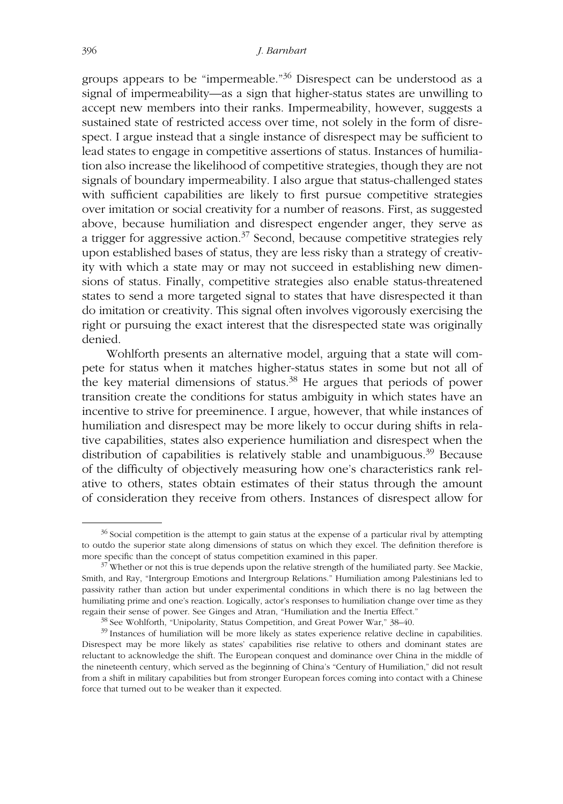groups appears to be "impermeable."36 Disrespect can be understood as a signal of impermeability—as a sign that higher-status states are unwilling to accept new members into their ranks. Impermeability, however, suggests a sustained state of restricted access over time, not solely in the form of disrespect. I argue instead that a single instance of disrespect may be sufficient to lead states to engage in competitive assertions of status. Instances of humiliation also increase the likelihood of competitive strategies, though they are not signals of boundary impermeability. I also argue that status-challenged states with sufficient capabilities are likely to first pursue competitive strategies over imitation or social creativity for a number of reasons. First, as suggested above, because humiliation and disrespect engender anger, they serve as a trigger for aggressive action.<sup>37</sup> Second, because competitive strategies rely upon established bases of status, they are less risky than a strategy of creativity with which a state may or may not succeed in establishing new dimensions of status. Finally, competitive strategies also enable status-threatened states to send a more targeted signal to states that have disrespected it than do imitation or creativity. This signal often involves vigorously exercising the right or pursuing the exact interest that the disrespected state was originally denied.

Wohlforth presents an alternative model, arguing that a state will compete for status when it matches higher-status states in some but not all of the key material dimensions of status.<sup>38</sup> He argues that periods of power transition create the conditions for status ambiguity in which states have an incentive to strive for preeminence. I argue, however, that while instances of humiliation and disrespect may be more likely to occur during shifts in relative capabilities, states also experience humiliation and disrespect when the distribution of capabilities is relatively stable and unambiguous.<sup>39</sup> Because of the difficulty of objectively measuring how one's characteristics rank relative to others, states obtain estimates of their status through the amount of consideration they receive from others. Instances of disrespect allow for

 $36$  Social competition is the attempt to gain status at the expense of a particular rival by attempting to outdo the superior state along dimensions of status on which they excel. The definition therefore is more specific than the concept of status competition examined in this paper.

 $37$  Whether or not this is true depends upon the relative strength of the humiliated party. See Mackie, Smith, and Ray, "Intergroup Emotions and Intergroup Relations." Humiliation among Palestinians led to passivity rather than action but under experimental conditions in which there is no lag between the humiliating prime and one's reaction. Logically, actor's responses to humiliation change over time as they regain their sense of power. See Ginges and Atran, "Humiliation and the Inertia Effect."

<sup>38</sup> See Wohlforth, "Unipolarity, Status Competition, and Great Power War," 38–40.

<sup>&</sup>lt;sup>39</sup> Instances of humiliation will be more likely as states experience relative decline in capabilities. Disrespect may be more likely as states' capabilities rise relative to others and dominant states are reluctant to acknowledge the shift. The European conquest and dominance over China in the middle of the nineteenth century, which served as the beginning of China's "Century of Humiliation," did not result from a shift in military capabilities but from stronger European forces coming into contact with a Chinese force that turned out to be weaker than it expected.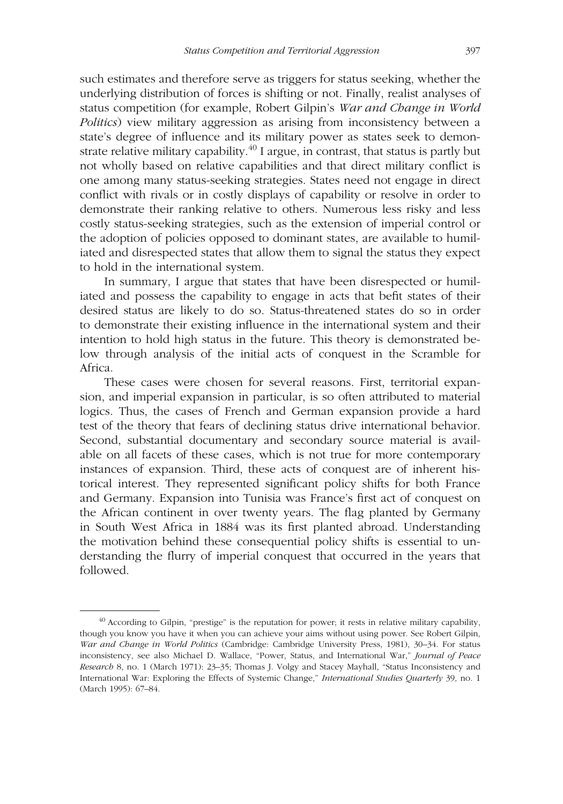such estimates and therefore serve as triggers for status seeking, whether the underlying distribution of forces is shifting or not. Finally, realist analyses of status competition (for example, Robert Gilpin's *War and Change in World Politics*) view military aggression as arising from inconsistency between a state's degree of influence and its military power as states seek to demonstrate relative military capability. $40$  I argue, in contrast, that status is partly but not wholly based on relative capabilities and that direct military conflict is one among many status-seeking strategies. States need not engage in direct conflict with rivals or in costly displays of capability or resolve in order to demonstrate their ranking relative to others. Numerous less risky and less costly status-seeking strategies, such as the extension of imperial control or the adoption of policies opposed to dominant states, are available to humiliated and disrespected states that allow them to signal the status they expect to hold in the international system.

In summary, I argue that states that have been disrespected or humiliated and possess the capability to engage in acts that befit states of their desired status are likely to do so. Status-threatened states do so in order to demonstrate their existing influence in the international system and their intention to hold high status in the future. This theory is demonstrated below through analysis of the initial acts of conquest in the Scramble for Africa.

These cases were chosen for several reasons. First, territorial expansion, and imperial expansion in particular, is so often attributed to material logics. Thus, the cases of French and German expansion provide a hard test of the theory that fears of declining status drive international behavior. Second, substantial documentary and secondary source material is available on all facets of these cases, which is not true for more contemporary instances of expansion. Third, these acts of conquest are of inherent historical interest. They represented significant policy shifts for both France and Germany. Expansion into Tunisia was France's first act of conquest on the African continent in over twenty years. The flag planted by Germany in South West Africa in 1884 was its first planted abroad. Understanding the motivation behind these consequential policy shifts is essential to understanding the flurry of imperial conquest that occurred in the years that followed.

 $^{40}$  According to Gilpin, "prestige" is the reputation for power; it rests in relative military capability, though you know you have it when you can achieve your aims without using power. See Robert Gilpin, *War and Change in World Politics* (Cambridge: Cambridge University Press, 1981), 30–34. For status inconsistency, see also Michael D. Wallace, "Power, Status, and International War," *Journal of Peace Research* 8, no. 1 (March 1971): 23–35; Thomas J. Volgy and Stacey Mayhall, "Status Inconsistency and International War: Exploring the Effects of Systemic Change," *International Studies Quarterly* 39, no. 1 (March 1995): 67–84.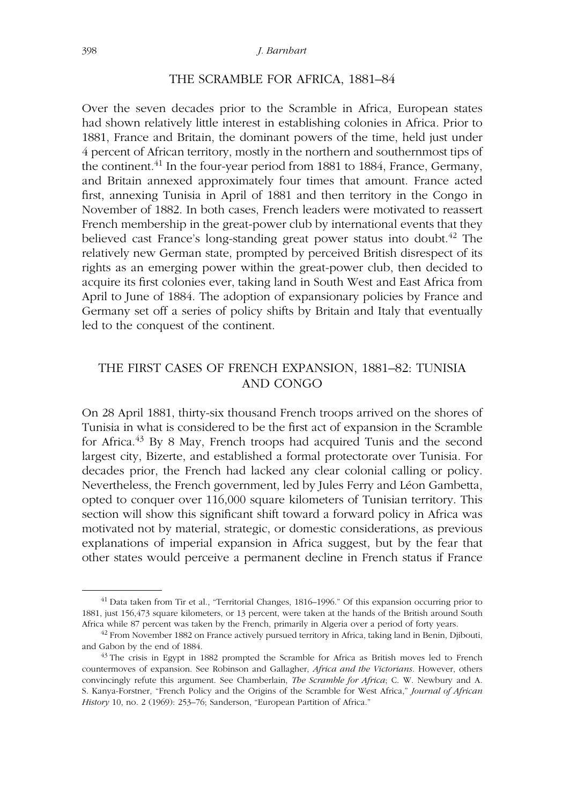#### THE SCRAMBLE FOR AFRICA, 1881–84

Over the seven decades prior to the Scramble in Africa, European states had shown relatively little interest in establishing colonies in Africa. Prior to 1881, France and Britain, the dominant powers of the time, held just under 4 percent of African territory, mostly in the northern and southernmost tips of the continent.<sup>41</sup> In the four-year period from 1881 to 1884, France, Germany, and Britain annexed approximately four times that amount. France acted first, annexing Tunisia in April of 1881 and then territory in the Congo in November of 1882. In both cases, French leaders were motivated to reassert French membership in the great-power club by international events that they believed cast France's long-standing great power status into doubt.<sup>42</sup> The relatively new German state, prompted by perceived British disrespect of its rights as an emerging power within the great-power club, then decided to acquire its first colonies ever, taking land in South West and East Africa from April to June of 1884. The adoption of expansionary policies by France and Germany set off a series of policy shifts by Britain and Italy that eventually led to the conquest of the continent.

# THE FIRST CASES OF FRENCH EXPANSION, 1881–82: TUNISIA AND CONGO

On 28 April 1881, thirty-six thousand French troops arrived on the shores of Tunisia in what is considered to be the first act of expansion in the Scramble for Africa.<sup>43</sup> By 8 May, French troops had acquired Tunis and the second largest city, Bizerte, and established a formal protectorate over Tunisia. For decades prior, the French had lacked any clear colonial calling or policy. Nevertheless, the French government, led by Jules Ferry and Léon Gambetta, opted to conquer over 116,000 square kilometers of Tunisian territory. This section will show this significant shift toward a forward policy in Africa was motivated not by material, strategic, or domestic considerations, as previous explanations of imperial expansion in Africa suggest, but by the fear that other states would perceive a permanent decline in French status if France

<sup>41</sup> Data taken from Tir et al., "Territorial Changes, 1816–1996." Of this expansion occurring prior to 1881, just 156,473 square kilometers, or 13 percent, were taken at the hands of the British around South Africa while 87 percent was taken by the French, primarily in Algeria over a period of forty years.

<sup>&</sup>lt;sup>42</sup> From November 1882 on France actively pursued territory in Africa, taking land in Benin, Djibouti, and Gabon by the end of 1884.

<sup>&</sup>lt;sup>43</sup> The crisis in Egypt in 1882 prompted the Scramble for Africa as British moves led to French countermoves of expansion. See Robinson and Gallagher, *Africa and the Victorians*. However, others convincingly refute this argument. See Chamberlain, *The Scramble for Africa*; C. W. Newbury and A. S. Kanya-Forstner, "French Policy and the Origins of the Scramble for West Africa," *Journal of African History* 10, no. 2 (1969): 253–76; Sanderson, "European Partition of Africa."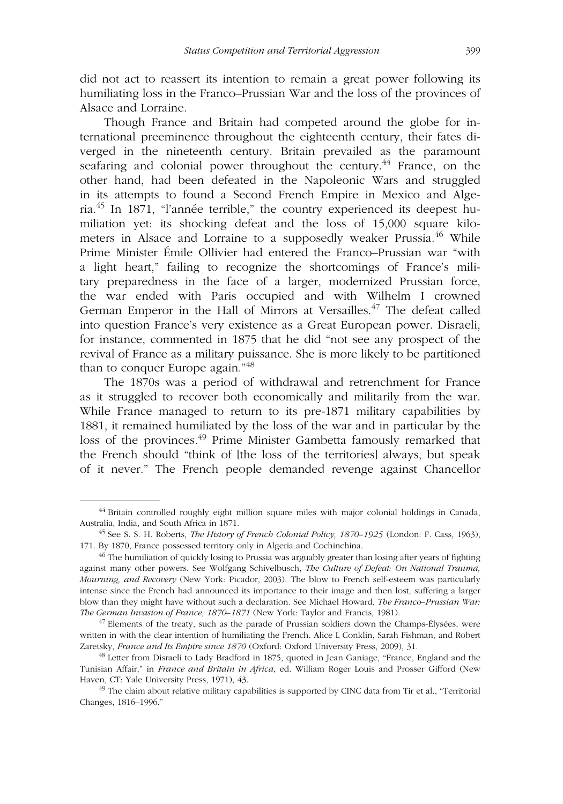did not act to reassert its intention to remain a great power following its humiliating loss in the Franco–Prussian War and the loss of the provinces of Alsace and Lorraine.

Though France and Britain had competed around the globe for international preeminence throughout the eighteenth century, their fates diverged in the nineteenth century. Britain prevailed as the paramount seafaring and colonial power throughout the century.<sup>44</sup> France, on the other hand, had been defeated in the Napoleonic Wars and struggled in its attempts to found a Second French Empire in Mexico and Algeria.<sup>45</sup> In 1871, "l'année terrible," the country experienced its deepest humiliation yet: its shocking defeat and the loss of 15,000 square kilometers in Alsace and Lorraine to a supposedly weaker Prussia.<sup>46</sup> While Prime Minister Emile Ollivier had entered the Franco–Prussian war "with ´ a light heart," failing to recognize the shortcomings of France's military preparedness in the face of a larger, modernized Prussian force, the war ended with Paris occupied and with Wilhelm I crowned German Emperor in the Hall of Mirrors at Versailles.<sup>47</sup> The defeat called into question France's very existence as a Great European power. Disraeli, for instance, commented in 1875 that he did "not see any prospect of the revival of France as a military puissance. She is more likely to be partitioned than to conquer Europe again."<sup>48</sup>

The 1870s was a period of withdrawal and retrenchment for France as it struggled to recover both economically and militarily from the war. While France managed to return to its pre-1871 military capabilities by 1881, it remained humiliated by the loss of the war and in particular by the loss of the provinces.<sup>49</sup> Prime Minister Gambetta famously remarked that the French should "think of [the loss of the territories] always, but speak of it never." The French people demanded revenge against Chancellor

<sup>44</sup> Britain controlled roughly eight million square miles with major colonial holdings in Canada, Australia, India, and South Africa in 1871.

<sup>45</sup> See S. S. H. Roberts, *The History of French Colonial Policy, 1870–1925* (London: F. Cass, 1963), 171. By 1870, France possessed territory only in Algeria and Cochinchina.

<sup>&</sup>lt;sup>46</sup> The humiliation of quickly losing to Prussia was arguably greater than losing after years of fighting against many other powers. See Wolfgang Schivelbusch, *The Culture of Defeat: On National Trauma, Mourning, and Recovery* (New York: Picador, 2003). The blow to French self-esteem was particularly intense since the French had announced its importance to their image and then lost, suffering a larger blow than they might have without such a declaration. See Michael Howard, *The Franco–Prussian War: The German Invasion of France, 1870–1871* (New York: Taylor and Francis, 1981).

 $47$  Elements of the treaty, such as the parade of Prussian soldiers down the Champs-Élysées, were written in with the clear intention of humiliating the French. Alice L Conklin, Sarah Fishman, and Robert Zaretsky, *France and Its Empire since 1870* (Oxford: Oxford University Press, 2009), 31.

<sup>&</sup>lt;sup>48</sup> Letter from Disraeli to Lady Bradford in 1875, quoted in Jean Ganiage, "France, England and the Tunisian Affair," in *France and Britain in Africa*, ed. William Roger Louis and Prosser Gifford (New Haven, CT: Yale University Press, 1971), 43.

 $49$  The claim about relative military capabilities is supported by CINC data from Tir et al., "Territorial Changes, 1816–1996."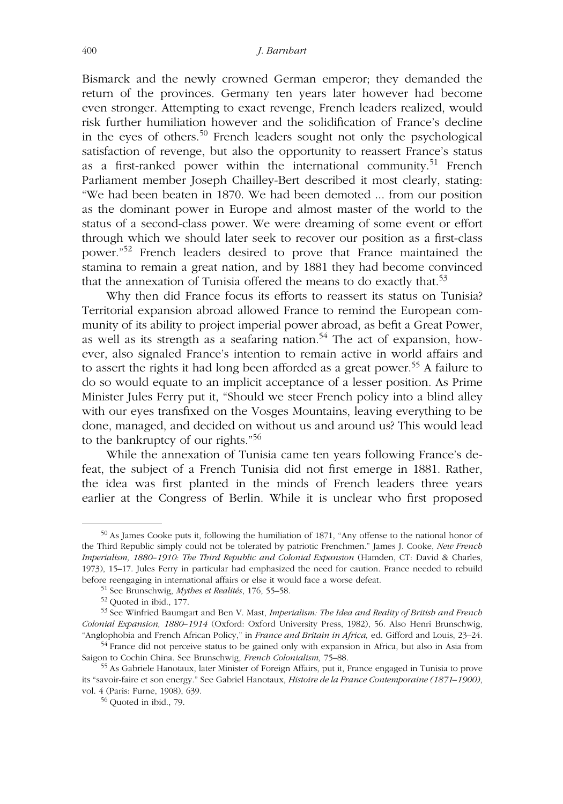Bismarck and the newly crowned German emperor; they demanded the return of the provinces. Germany ten years later however had become even stronger. Attempting to exact revenge, French leaders realized, would risk further humiliation however and the solidification of France's decline in the eyes of others.<sup>50</sup> French leaders sought not only the psychological satisfaction of revenge, but also the opportunity to reassert France's status as a first-ranked power within the international community.<sup>51</sup> French Parliament member Joseph Chailley-Bert described it most clearly, stating: "We had been beaten in 1870. We had been demoted ... from our position as the dominant power in Europe and almost master of the world to the status of a second-class power. We were dreaming of some event or effort through which we should later seek to recover our position as a first-class power."<sup>52</sup> French leaders desired to prove that France maintained the stamina to remain a great nation, and by 1881 they had become convinced that the annexation of Tunisia offered the means to do exactly that.<sup>53</sup>

Why then did France focus its efforts to reassert its status on Tunisia? Territorial expansion abroad allowed France to remind the European community of its ability to project imperial power abroad, as befit a Great Power, as well as its strength as a seafaring nation.<sup>54</sup> The act of expansion, however, also signaled France's intention to remain active in world affairs and to assert the rights it had long been afforded as a great power.<sup>55</sup> A failure to do so would equate to an implicit acceptance of a lesser position. As Prime Minister Jules Ferry put it, "Should we steer French policy into a blind alley with our eyes transfixed on the Vosges Mountains, leaving everything to be done, managed, and decided on without us and around us? This would lead to the bankruptcy of our rights."<sup>56</sup>

While the annexation of Tunisia came ten years following France's defeat, the subject of a French Tunisia did not first emerge in 1881. Rather, the idea was first planted in the minds of French leaders three years earlier at the Congress of Berlin. While it is unclear who first proposed

<sup>&</sup>lt;sup>50</sup> As James Cooke puts it, following the humiliation of 1871, "Any offense to the national honor of the Third Republic simply could not be tolerated by patriotic Frenchmen." James J. Cooke, *New French Imperialism, 1880–1910: The Third Republic and Colonial Expansion* (Hamden, CT: David & Charles, 1973), 15–17. Jules Ferry in particular had emphasized the need for caution. France needed to rebuild before reengaging in international affairs or else it would face a worse defeat.

<sup>&</sup>lt;sup>51</sup> See Brunschwig, *Mythes et Realités*, 176, 55-58.

<sup>52</sup> Quoted in ibid., 177.

<sup>53</sup> See Winfried Baumgart and Ben V. Mast, *Imperialism: The Idea and Reality of British and French Colonial Expansion, 1880–1914* (Oxford: Oxford University Press, 1982), 56. Also Henri Brunschwig, "Anglophobia and French African Policy," in *France and Britain in Africa,* ed. Gifford and Louis, 23–24.

 $54$  France did not perceive status to be gained only with expansion in Africa, but also in Asia from Saigon to Cochin China. See Brunschwig, *French Colonialism,* 75–88.

<sup>55</sup> As Gabriele Hanotaux, later Minister of Foreign Affairs, put it, France engaged in Tunisia to prove its "savoir-faire et son energy." See Gabriel Hanotaux, *Histoire de la France Contemporaine (1871–1900)*, vol. 4 (Paris: Furne, 1908), 639.

<sup>56</sup> Quoted in ibid., 79.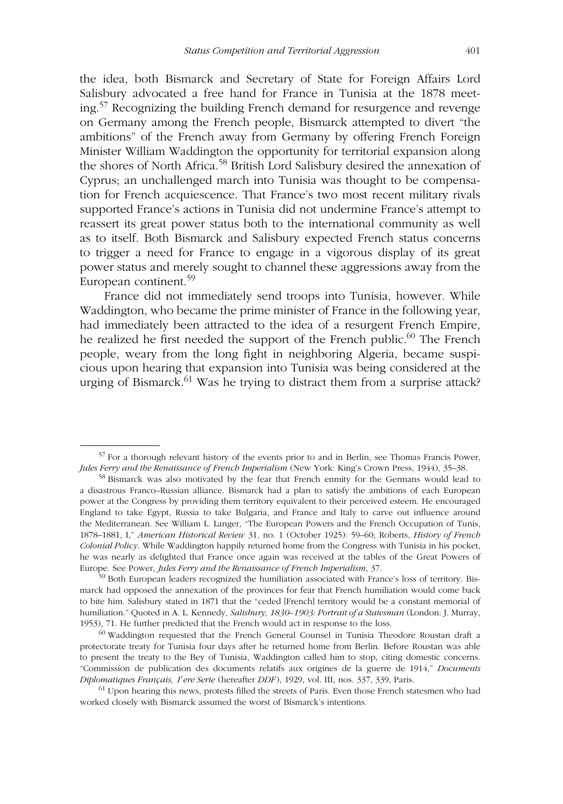the idea, both Bismarck and Secretary of State for Foreign Affairs Lord Salisbury advocated a free hand for France in Tunisia at the 1878 meeting.<sup>57</sup> Recognizing the building French demand for resurgence and revenge on Germany among the French people, Bismarck attempted to divert "the ambitions" of the French away from Germany by offering French Foreign Minister William Waddington the opportunity for territorial expansion along the shores of North Africa.<sup>58</sup> British Lord Salisbury desired the annexation of Cyprus; an unchallenged march into Tunisia was thought to be compensation for French acquiescence. That France's two most recent military rivals supported France's actions in Tunisia did not undermine France's attempt to reassert its great power status both to the international community as well as to itself. Both Bismarck and Salisbury expected French status concerns to trigger a need for France to engage in a vigorous display of its great power status and merely sought to channel these aggressions away from the European continent.<sup>59</sup>

France did not immediately send troops into Tunisia, however. While Waddington, who became the prime minister of France in the following year, had immediately been attracted to the idea of a resurgent French Empire, he realized he first needed the support of the French public.<sup>60</sup> The French people, weary from the long fight in neighboring Algeria, became suspicious upon hearing that expansion into Tunisia was being considered at the urging of Bismarck.<sup>61</sup> Was he trying to distract them from a surprise attack?

<sup>&</sup>lt;sup>57</sup> For a thorough relevant history of the events prior to and in Berlin, see Thomas Francis Power, *Jules Ferry and the Renaissance of French Imperialism* (New York: King's Crown Press, 1944), 35–38.

<sup>&</sup>lt;sup>58</sup> Bismarck was also motivated by the fear that French enmity for the Germans would lead to a disastrous Franco–Russian alliance. Bismarck had a plan to satisfy the ambitions of each European power at the Congress by providing them territory equivalent to their perceived esteem. He encouraged England to take Egypt, Russia to take Bulgaria, and France and Italy to carve out influence around the Mediterranean. See William L. Langer, "The European Powers and the French Occupation of Tunis, 1878–1881, I," *American Historical Review* 31, no. 1 (October 1925): 59–60; Roberts, *History of French Colonial Policy*. While Waddington happily returned home from the Congress with Tunisia in his pocket, he was nearly as delighted that France once again was received at the tables of the Great Powers of Europe. See Power, *Jules Ferry and the Renaissance of French Imperialism*, 37.

<sup>&</sup>lt;sup>59</sup> Both European leaders recognized the humiliation associated with France's loss of territory. Bismarck had opposed the annexation of the provinces for fear that French humiliation would come back to bite him. Salisbury stated in 1871 that the "ceded [French] territory would be a constant memorial of humiliation." Quoted in A. L. Kennedy, *Salisbury, 1830–1903: Portrait of a Statesman* (London: J. Murray, 1953), 71. He further predicted that the French would act in response to the loss.

 $60$  Waddington requested that the French General Counsel in Tunisia Theodore Roustan draft a protectorate treaty for Tunisia four days after he returned home from Berlin. Before Roustan was able to present the treaty to the Bey of Tunisia, Waddington called him to stop, citing domestic concerns. "Commission de publication des documents relatifs aux origines de la guerre de 1914," *Documents Diplomatiques Franc¸ais, 1*- *ere Serie* (hereafter *DDF*), 1929, vol. III, nos. 337, 339, Paris.

 $61$  Upon hearing this news, protests filled the streets of Paris. Even those French statesmen who had worked closely with Bismarck assumed the worst of Bismarck's intentions.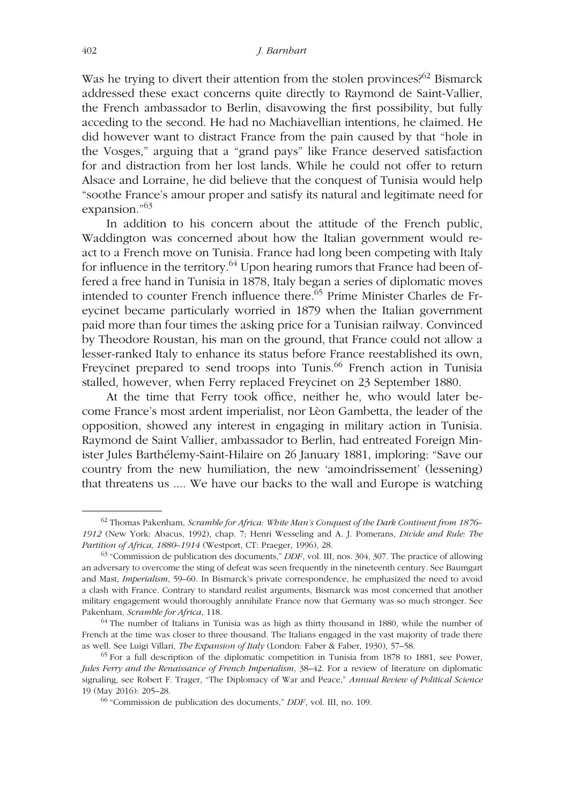Was he trying to divert their attention from the stolen provinces?<sup>62</sup> Bismarck addressed these exact concerns quite directly to Raymond de Saint-Vallier, the French ambassador to Berlin, disavowing the first possibility, but fully acceding to the second. He had no Machiavellian intentions, he claimed. He did however want to distract France from the pain caused by that "hole in the Vosges," arguing that a "grand pays" like France deserved satisfaction for and distraction from her lost lands. While he could not offer to return Alsace and Lorraine, he did believe that the conquest of Tunisia would help "soothe France's amour proper and satisfy its natural and legitimate need for expansion."<sup>63</sup>

In addition to his concern about the attitude of the French public, Waddington was concerned about how the Italian government would react to a French move on Tunisia. France had long been competing with Italy for influence in the territory.<sup>64</sup> Upon hearing rumors that France had been offered a free hand in Tunisia in 1878, Italy began a series of diplomatic moves intended to counter French influence there.<sup>65</sup> Prime Minister Charles de Freycinet became particularly worried in 1879 when the Italian government paid more than four times the asking price for a Tunisian railway. Convinced by Theodore Roustan, his man on the ground, that France could not allow a lesser-ranked Italy to enhance its status before France reestablished its own, Freycinet prepared to send troops into Tunis.<sup>66</sup> French action in Tunisia stalled, however, when Ferry replaced Freycinet on 23 September 1880.

At the time that Ferry took office, neither he, who would later become France's most ardent imperialist, nor Lèon Gambetta, the leader of the opposition, showed any interest in engaging in military action in Tunisia. Raymond de Saint Vallier, ambassador to Berlin, had entreated Foreign Minister Jules Barthélemy-Saint-Hilaire on 26 January 1881, imploring: "Save our country from the new humiliation, the new 'amoindrissement' (lessening) that threatens us .... We have our backs to the wall and Europe is watching

<sup>62</sup> Thomas Pakenham, *Scramble for Africa: White Man's Conquest of the Dark Continent from 1876– 1912* (New York: Abacus, 1992), chap. 7; Henri Wesseling and A. J. Pomerans, *Divide and Rule: The Partition of Africa, 1880–1914* (Westport, CT: Praeger, 1996), 28.

<sup>63</sup> "Commission de publication des documents," *DDF*, vol. III, nos. 304, 307. The practice of allowing an adversary to overcome the sting of defeat was seen frequently in the nineteenth century. See Baumgart and Mast, *Imperialism*, 59–60. In Bismarck's private correspondence, he emphasized the need to avoid a clash with France. Contrary to standard realist arguments, Bismarck was most concerned that another military engagement would thoroughly annihilate France now that Germany was so much stronger. See Pakenham, *Scramble for Africa*, 118.

<sup>&</sup>lt;sup>64</sup> The number of Italians in Tunisia was as high as thirty thousand in 1880, while the number of French at the time was closer to three thousand. The Italians engaged in the vast majority of trade there as well. See Luigi Villari, *The Expansion of Italy* (London: Faber & Faber, 1930), 57–58.

<sup>&</sup>lt;sup>65</sup> For a full description of the diplomatic competition in Tunisia from 1878 to 1881, see Power, *Jules Ferry and the Renaissance of French Imperialism*, 38–42. For a review of literature on diplomatic signaling, see Robert F. Trager, "The Diplomacy of War and Peace," *Annual Review of Political Science* 19 (May 2016): 205–28.

<sup>66</sup> "Commission de publication des documents," *DDF*, vol. III, no. 109.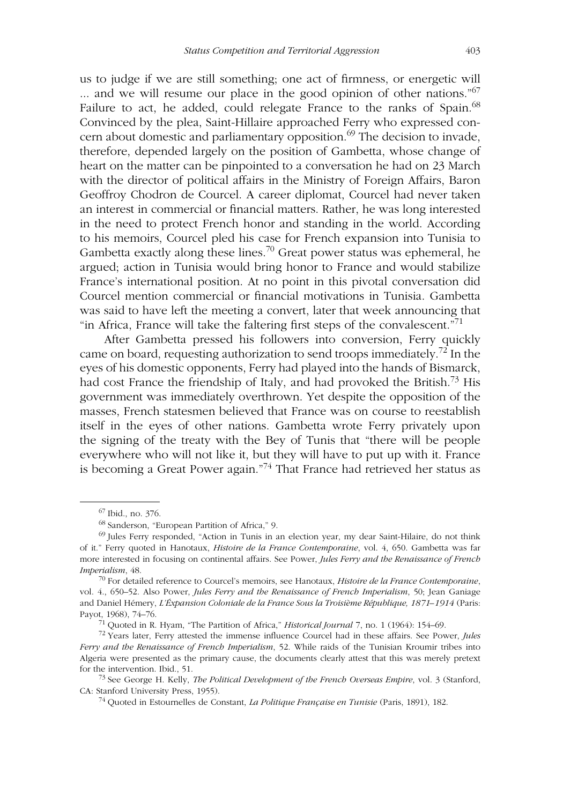us to judge if we are still something; one act of firmness, or energetic will ... and we will resume our place in the good opinion of other nations."<sup>67</sup> Failure to act, he added, could relegate France to the ranks of Spain.<sup>68</sup> Convinced by the plea, Saint-Hillaire approached Ferry who expressed concern about domestic and parliamentary opposition.<sup>69</sup> The decision to invade, therefore, depended largely on the position of Gambetta, whose change of heart on the matter can be pinpointed to a conversation he had on 23 March with the director of political affairs in the Ministry of Foreign Affairs, Baron Geoffroy Chodron de Courcel. A career diplomat, Courcel had never taken an interest in commercial or financial matters. Rather, he was long interested in the need to protect French honor and standing in the world. According to his memoirs, Courcel pled his case for French expansion into Tunisia to Gambetta exactly along these lines.<sup>70</sup> Great power status was ephemeral, he argued; action in Tunisia would bring honor to France and would stabilize France's international position. At no point in this pivotal conversation did Courcel mention commercial or financial motivations in Tunisia. Gambetta was said to have left the meeting a convert, later that week announcing that "in Africa, France will take the faltering first steps of the convalescent."<sup>71</sup>

After Gambetta pressed his followers into conversion, Ferry quickly came on board, requesting authorization to send troops immediately.<sup>72</sup> In the eyes of his domestic opponents, Ferry had played into the hands of Bismarck, had cost France the friendship of Italy, and had provoked the British.<sup>73</sup> His government was immediately overthrown. Yet despite the opposition of the masses, French statesmen believed that France was on course to reestablish itself in the eyes of other nations. Gambetta wrote Ferry privately upon the signing of the treaty with the Bey of Tunis that "there will be people everywhere who will not like it, but they will have to put up with it. France is becoming a Great Power again."<sup>74</sup> That France had retrieved her status as

 $67$  Ibid., no. 376.

<sup>68</sup> Sanderson, "European Partition of Africa," 9.

<sup>&</sup>lt;sup>69</sup> Jules Ferry responded, "Action in Tunis in an election year, my dear Saint-Hilaire, do not think of it." Ferry quoted in Hanotaux, *Histoire de la France Contemporaine*, vol. 4, 650. Gambetta was far more interested in focusing on continental affairs. See Power, *Jules Ferry and the Renaissance of French Imperialism*, 48.

<sup>70</sup> For detailed reference to Courcel's memoirs, see Hanotaux, *Histoire de la France Contemporaine*, vol. 4., 650–52. Also Power, *Jules Ferry and the Renaissance of French Imperialism*, 50; Jean Ganiage and Daniel Hemery, ´ *L'Expansion Coloniale de la France Sous la Troisi ´ eme R ` epublique, 1871–1914 ´* (Paris: Payot, 1968), 74–76.

<sup>71</sup> Quoted in R. Hyam, "The Partition of Africa," *Historical Journal* 7, no. 1 (1964): 154–69.

<sup>72</sup> Years later, Ferry attested the immense influence Courcel had in these affairs. See Power, *Jules Ferry and the Renaissance of French Imperialism*, 52. While raids of the Tunisian Kroumir tribes into Algeria were presented as the primary cause, the documents clearly attest that this was merely pretext for the intervention. Ibid., 51.

<sup>73</sup> See George H. Kelly, *The Political Development of the French Overseas Empire*, vol. 3 (Stanford, CA: Stanford University Press, 1955).

<sup>&</sup>lt;sup>74</sup> Quoted in Estournelles de Constant, *La Politique Française en Tunisie* (Paris, 1891), 182.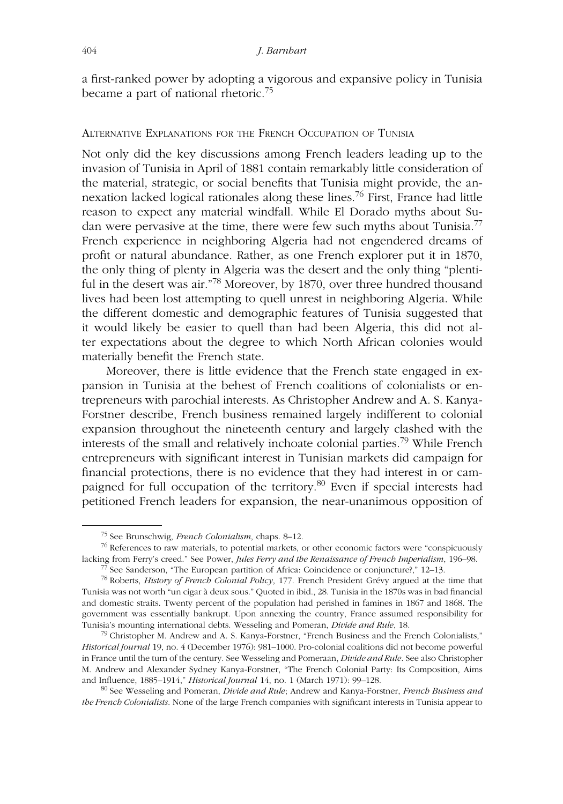a first-ranked power by adopting a vigorous and expansive policy in Tunisia became a part of national rhetoric.<sup>75</sup>

#### ALTERNATIVE EXPLANATIONS FOR THE FRENCH OCCUPATION OF TUNISIA

Not only did the key discussions among French leaders leading up to the invasion of Tunisia in April of 1881 contain remarkably little consideration of the material, strategic, or social benefits that Tunisia might provide, the annexation lacked logical rationales along these lines.<sup>76</sup> First, France had little reason to expect any material windfall. While El Dorado myths about Sudan were pervasive at the time, there were few such myths about Tunisia.<sup>77</sup> French experience in neighboring Algeria had not engendered dreams of profit or natural abundance. Rather, as one French explorer put it in 1870, the only thing of plenty in Algeria was the desert and the only thing "plentiful in the desert was air."<sup>78</sup> Moreover, by 1870, over three hundred thousand lives had been lost attempting to quell unrest in neighboring Algeria. While the different domestic and demographic features of Tunisia suggested that it would likely be easier to quell than had been Algeria, this did not alter expectations about the degree to which North African colonies would materially benefit the French state.

Moreover, there is little evidence that the French state engaged in expansion in Tunisia at the behest of French coalitions of colonialists or entrepreneurs with parochial interests. As Christopher Andrew and A. S. Kanya-Forstner describe, French business remained largely indifferent to colonial expansion throughout the nineteenth century and largely clashed with the interests of the small and relatively inchoate colonial parties.<sup>79</sup> While French entrepreneurs with significant interest in Tunisian markets did campaign for financial protections, there is no evidence that they had interest in or campaigned for full occupation of the territory.<sup>80</sup> Even if special interests had petitioned French leaders for expansion, the near-unanimous opposition of

<sup>75</sup> See Brunschwig, *French Colonialism*, chaps. 8–12.

<sup>&</sup>lt;sup>76</sup> References to raw materials, to potential markets, or other economic factors were "conspicuously lacking from Ferry's creed." See Power, *Jules Ferry and the Renaissance of French Imperialism*, 196–98.

<sup>77</sup> See Sanderson, "The European partition of Africa: Coincidence or conjuncture?," 12–13.

<sup>&</sup>lt;sup>78</sup> Roberts, *History of French Colonial Policy*, 177. French President Grévy argued at the time that Tunisia was not worth "un cigar a deux sous." Quoted in ibid., 28. Tunisia in the 1870s was in bad financial ` and domestic straits. Twenty percent of the population had perished in famines in 1867 and 1868. The government was essentially bankrupt. Upon annexing the country, France assumed responsibility for Tunisia's mounting international debts. Wesseling and Pomeran, *Divide and Rule*, 18.

 $79$  Christopher M. Andrew and A. S. Kanya-Forstner, "French Business and the French Colonialists," *Historical Journal* 19, no. 4 (December 1976): 981–1000. Pro-colonial coalitions did not become powerful in France until the turn of the century. See Wesseling and Pomeraan, *Divide and Rule*. See also Christopher M. Andrew and Alexander Sydney Kanya-Forstner, "The French Colonial Party: Its Composition, Aims and Influence, 1885–1914," *Historical Journal* 14, no. 1 (March 1971): 99–128.

<sup>80</sup> See Wesseling and Pomeran, *Divide and Rule*; Andrew and Kanya-Forstner, *French Business and the French Colonialists*. None of the large French companies with significant interests in Tunisia appear to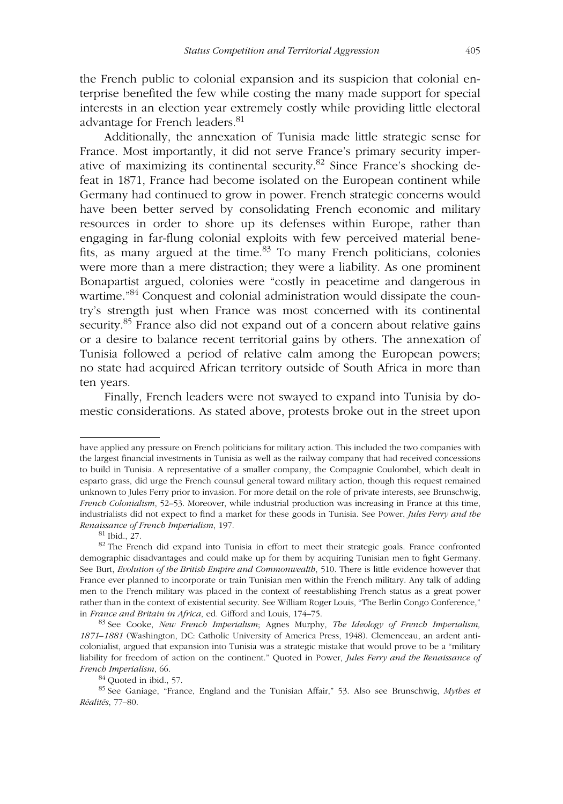the French public to colonial expansion and its suspicion that colonial enterprise benefited the few while costing the many made support for special interests in an election year extremely costly while providing little electoral advantage for French leaders.<sup>81</sup>

Additionally, the annexation of Tunisia made little strategic sense for France. Most importantly, it did not serve France's primary security imperative of maximizing its continental security.<sup>82</sup> Since France's shocking defeat in 1871, France had become isolated on the European continent while Germany had continued to grow in power. French strategic concerns would have been better served by consolidating French economic and military resources in order to shore up its defenses within Europe, rather than engaging in far-flung colonial exploits with few perceived material benefits, as many argued at the time. $83$  To many French politicians, colonies were more than a mere distraction; they were a liability. As one prominent Bonapartist argued, colonies were "costly in peacetime and dangerous in wartime."<sup>84</sup> Conquest and colonial administration would dissipate the country's strength just when France was most concerned with its continental security.<sup>85</sup> France also did not expand out of a concern about relative gains or a desire to balance recent territorial gains by others. The annexation of Tunisia followed a period of relative calm among the European powers; no state had acquired African territory outside of South Africa in more than ten years.

Finally, French leaders were not swayed to expand into Tunisia by domestic considerations. As stated above, protests broke out in the street upon

 $84$  Quoted in ibid., 57.

have applied any pressure on French politicians for military action. This included the two companies with the largest financial investments in Tunisia as well as the railway company that had received concessions to build in Tunisia. A representative of a smaller company, the Compagnie Coulombel, which dealt in esparto grass, did urge the French counsul general toward military action, though this request remained unknown to Jules Ferry prior to invasion. For more detail on the role of private interests, see Brunschwig, *French Colonialism*, 52–53. Moreover, while industrial production was increasing in France at this time, industrialists did not expect to find a market for these goods in Tunisia. See Power, *Jules Ferry and the Renaissance of French Imperialism*, 197.

 $81$  Ibid., 27.

<sup>&</sup>lt;sup>82</sup> The French did expand into Tunisia in effort to meet their strategic goals. France confronted demographic disadvantages and could make up for them by acquiring Tunisian men to fight Germany. See Burt, *Evolution of the British Empire and Commonwealth*, 510. There is little evidence however that France ever planned to incorporate or train Tunisian men within the French military. Any talk of adding men to the French military was placed in the context of reestablishing French status as a great power rather than in the context of existential security. See William Roger Louis, "The Berlin Congo Conference," in *France and Britain in Africa*, ed. Gifford and Louis, 174–75.

<sup>83</sup> See Cooke, *New French Imperialism*; Agnes Murphy, *The Ideology of French Imperialism, 1871–1881* (Washington, DC: Catholic University of America Press, 1948). Clemenceau, an ardent anticolonialist, argued that expansion into Tunisia was a strategic mistake that would prove to be a "military liability for freedom of action on the continent." Quoted in Power, *Jules Ferry and the Renaissance of French Imperialism*, 66.

<sup>85</sup> See Ganiage, "France, England and the Tunisian Affair," 53. Also see Brunschwig, *Mythes et Réalités*, 77–80.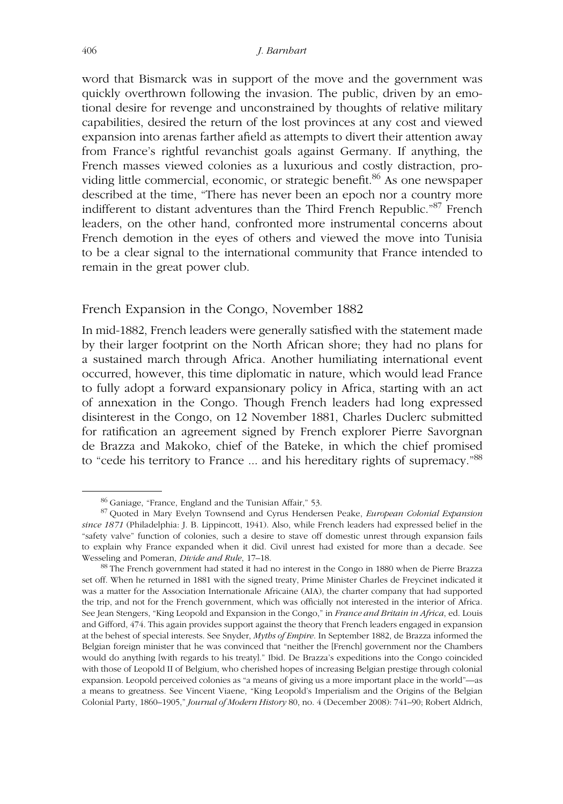word that Bismarck was in support of the move and the government was quickly overthrown following the invasion. The public, driven by an emotional desire for revenge and unconstrained by thoughts of relative military capabilities, desired the return of the lost provinces at any cost and viewed expansion into arenas farther afield as attempts to divert their attention away from France's rightful revanchist goals against Germany. If anything, the French masses viewed colonies as a luxurious and costly distraction, providing little commercial, economic, or strategic benefit.<sup>86</sup> As one newspaper described at the time, "There has never been an epoch nor a country more indifferent to distant adventures than the Third French Republic."<sup>87</sup> French leaders, on the other hand, confronted more instrumental concerns about French demotion in the eyes of others and viewed the move into Tunisia to be a clear signal to the international community that France intended to remain in the great power club.

#### French Expansion in the Congo, November 1882

In mid-1882, French leaders were generally satisfied with the statement made by their larger footprint on the North African shore; they had no plans for a sustained march through Africa. Another humiliating international event occurred, however, this time diplomatic in nature, which would lead France to fully adopt a forward expansionary policy in Africa, starting with an act of annexation in the Congo. Though French leaders had long expressed disinterest in the Congo, on 12 November 1881, Charles Duclerc submitted for ratification an agreement signed by French explorer Pierre Savorgnan de Brazza and Makoko, chief of the Bateke, in which the chief promised to "cede his territory to France ... and his hereditary rights of supremacy."<sup>88</sup>

<sup>86</sup> Ganiage, "France, England and the Tunisian Affair," 53.

<sup>87</sup> Quoted in Mary Evelyn Townsend and Cyrus Hendersen Peake, *European Colonial Expansion since 1871* (Philadelphia: J. B. Lippincott, 1941). Also, while French leaders had expressed belief in the "safety valve" function of colonies, such a desire to stave off domestic unrest through expansion fails to explain why France expanded when it did. Civil unrest had existed for more than a decade. See Wesseling and Pomeran, *Divide and Rule*, 17–18.

<sup>88</sup> The French government had stated it had no interest in the Congo in 1880 when de Pierre Brazza set off. When he returned in 1881 with the signed treaty, Prime Minister Charles de Freycinet indicated it was a matter for the Association Internationale Africaine (AIA), the charter company that had supported the trip, and not for the French government, which was officially not interested in the interior of Africa. See Jean Stengers, "King Leopold and Expansion in the Congo," in *France and Britain in Africa*, ed. Louis and Gifford, 474. This again provides support against the theory that French leaders engaged in expansion at the behest of special interests. See Snyder, *Myths of Empire*. In September 1882, de Brazza informed the Belgian foreign minister that he was convinced that "neither the [French] government nor the Chambers would do anything [with regards to his treaty]." Ibid. De Brazza's expeditions into the Congo coincided with those of Leopold II of Belgium, who cherished hopes of increasing Belgian prestige through colonial expansion. Leopold perceived colonies as "a means of giving us a more important place in the world"—as a means to greatness. See Vincent Viaene, "King Leopold's Imperialism and the Origins of the Belgian Colonial Party, 1860–1905," *Journal of Modern History* 80, no. 4 (December 2008): 741–90; Robert Aldrich,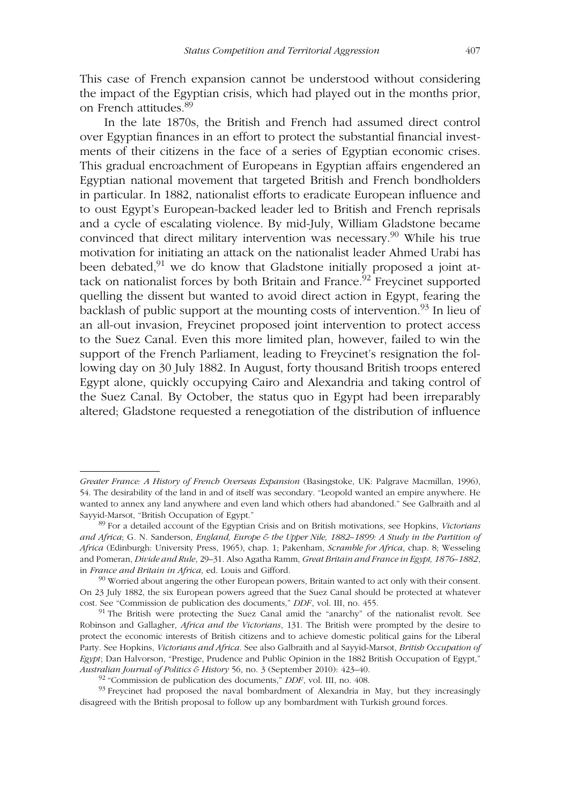This case of French expansion cannot be understood without considering the impact of the Egyptian crisis, which had played out in the months prior, on French attitudes.<sup>89</sup>

In the late 1870s, the British and French had assumed direct control over Egyptian finances in an effort to protect the substantial financial investments of their citizens in the face of a series of Egyptian economic crises. This gradual encroachment of Europeans in Egyptian affairs engendered an Egyptian national movement that targeted British and French bondholders in particular. In 1882, nationalist efforts to eradicate European influence and to oust Egypt's European-backed leader led to British and French reprisals and a cycle of escalating violence. By mid-July, William Gladstone became convinced that direct military intervention was necessary.<sup>90</sup> While his true motivation for initiating an attack on the nationalist leader Ahmed Urabi has been debated, <sup>91</sup> we do know that Gladstone initially proposed a joint attack on nationalist forces by both Britain and France.<sup>92</sup> Freycinet supported quelling the dissent but wanted to avoid direct action in Egypt, fearing the backlash of public support at the mounting costs of intervention.<sup>93</sup> In lieu of an all-out invasion, Freycinet proposed joint intervention to protect access to the Suez Canal. Even this more limited plan, however, failed to win the support of the French Parliament, leading to Freycinet's resignation the following day on 30 July 1882. In August, forty thousand British troops entered Egypt alone, quickly occupying Cairo and Alexandria and taking control of the Suez Canal. By October, the status quo in Egypt had been irreparably altered; Gladstone requested a renegotiation of the distribution of influence

*Greater France: A History of French Overseas Expansion* (Basingstoke, UK: Palgrave Macmillan, 1996), 54. The desirability of the land in and of itself was secondary. "Leopold wanted an empire anywhere. He wanted to annex any land anywhere and even land which others had abandoned." See Galbraith and al Sayyid-Marsot, "British Occupation of Egypt."

<sup>89</sup> For a detailed account of the Egyptian Crisis and on British motivations, see Hopkins, *Victorians and Africa*; G. N. Sanderson, *England, Europe & the Upper Nile, 1882–1899: A Study in the Partition of Africa* (Edinburgh: University Press, 1965), chap. 1; Pakenham, *Scramble for Africa*, chap. 8; Wesseling and Pomeran, *Divide and Rule*, 29–31. Also Agatha Ramm, *Great Britain and France in Egypt, 1876–1882*, in *France and Britain in Africa*, ed. Louis and Gifford.

 $90$  Worried about angering the other European powers, Britain wanted to act only with their consent. On 23 July 1882, the six European powers agreed that the Suez Canal should be protected at whatever cost. See "Commission de publication des documents," *DDF*, vol. III, no. 455.

<sup>&</sup>lt;sup>91</sup> The British were protecting the Suez Canal amid the "anarchy" of the nationalist revolt. See Robinson and Gallagher, *Africa and the Victorians*, 131. The British were prompted by the desire to protect the economic interests of British citizens and to achieve domestic political gains for the Liberal Party. See Hopkins, *Victorians and Africa.* See also Galbraith and al Sayyid-Marsot, *British Occupation of Egypt*; Dan Halvorson, "Prestige, Prudence and Public Opinion in the 1882 British Occupation of Egypt," *Australian Journal of Politics & History* 56, no. 3 (September 2010): 423–40.

<sup>92</sup> "Commission de publication des documents," *DDF*, vol. III, no. 408.

<sup>&</sup>lt;sup>93</sup> Freycinet had proposed the naval bombardment of Alexandria in May, but they increasingly disagreed with the British proposal to follow up any bombardment with Turkish ground forces.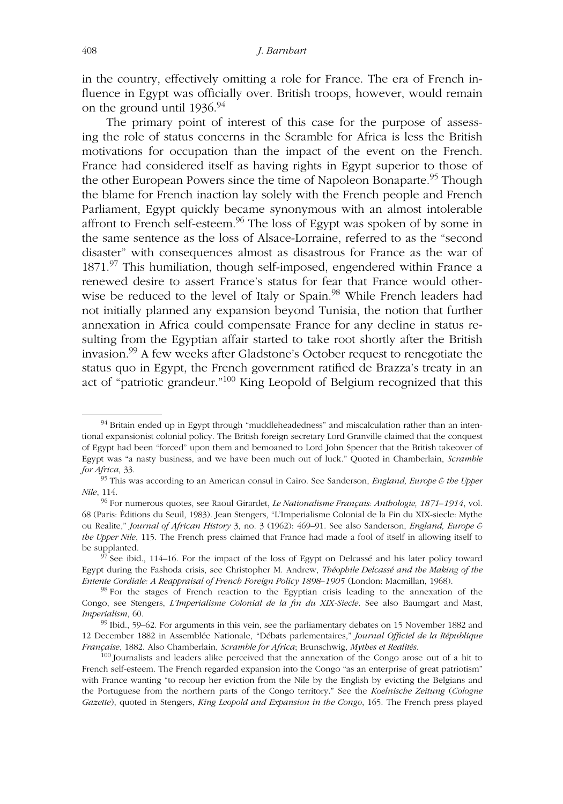in the country, effectively omitting a role for France. The era of French influence in Egypt was officially over. British troops, however, would remain on the ground until 1936.<sup>94</sup>

The primary point of interest of this case for the purpose of assessing the role of status concerns in the Scramble for Africa is less the British motivations for occupation than the impact of the event on the French. France had considered itself as having rights in Egypt superior to those of the other European Powers since the time of Napoleon Bonaparte.<sup>95</sup> Though the blame for French inaction lay solely with the French people and French Parliament, Egypt quickly became synonymous with an almost intolerable affront to French self-esteem.<sup>96</sup> The loss of Egypt was spoken of by some in the same sentence as the loss of Alsace-Lorraine, referred to as the "second disaster" with consequences almost as disastrous for France as the war of  $1871<sup>97</sup>$  This humiliation, though self-imposed, engendered within France a renewed desire to assert France's status for fear that France would otherwise be reduced to the level of Italy or Spain.<sup>98</sup> While French leaders had not initially planned any expansion beyond Tunisia, the notion that further annexation in Africa could compensate France for any decline in status resulting from the Egyptian affair started to take root shortly after the British invasion.<sup>99</sup> A few weeks after Gladstone's October request to renegotiate the status quo in Egypt, the French government ratified de Brazza's treaty in an act of "patriotic grandeur."<sup>100</sup> King Leopold of Belgium recognized that this

<sup>&</sup>lt;sup>94</sup> Britain ended up in Egypt through "muddleheadedness" and miscalculation rather than an intentional expansionist colonial policy. The British foreign secretary Lord Granville claimed that the conquest of Egypt had been "forced" upon them and bemoaned to Lord John Spencer that the British takeover of Egypt was "a nasty business, and we have been much out of luck." Quoted in Chamberlain, *Scramble for Africa*, 33.

<sup>95</sup> This was according to an American consul in Cairo. See Sanderson, *England, Europe & the Upper Nile*, 114.

<sup>&</sup>lt;sup>96</sup> For numerous quotes, see Raoul Girardet, *Le Nationalisme Français: Anthologie, 1871–1914*, vol. 68 (Paris: Editions du Seuil, 1983). Jean Stengers, "L'Imperialisme Colonial de la Fin du XIX-siecle: Mythe ´ ou Realite," *Journal of African History* 3, no. 3 (1962): 469–91. See also Sanderson, *England, Europe & the Upper Nile*, 115. The French press claimed that France had made a fool of itself in allowing itself to be supplanted.

 $97$  See ibid., 114–16. For the impact of the loss of Egypt on Delcassé and his later policy toward Egypt during the Fashoda crisis, see Christopher M. Andrew, *Théophile Delcassé and the Making of the Entente Cordiale: A Reappraisal of French Foreign Policy 1898–1905* (London: Macmillan, 1968).

<sup>98</sup> For the stages of French reaction to the Egyptian crisis leading to the annexation of the Congo, see Stengers, *L'Imperialisme Colonial de la fin du XIX-Siecle.* See also Baumgart and Mast, *Imperialism*, 60.

<sup>99</sup> Ibid., 59–62. For arguments in this vein, see the parliamentary debates on 15 November 1882 and 12 December 1882 in Assemblée Nationale, "Débats parlementaires," *Journal Officiel de la République Franc¸aise*, 1882. Also Chamberlain, *Scramble for Africa*; Brunschwig, *Mythes et Realites´* .

<sup>&</sup>lt;sup>100</sup> Journalists and leaders alike perceived that the annexation of the Congo arose out of a hit to French self-esteem. The French regarded expansion into the Congo "as an enterprise of great patriotism" with France wanting "to recoup her eviction from the Nile by the English by evicting the Belgians and the Portuguese from the northern parts of the Congo territory." See the *Koelnische Zeitung* (*Cologne Gazette*), quoted in Stengers, *King Leopold and Expansion in the Congo*, 165. The French press played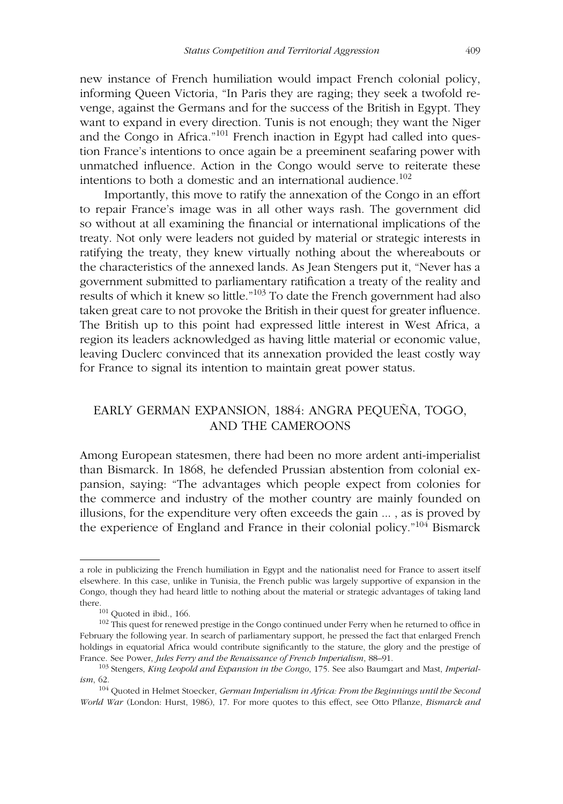new instance of French humiliation would impact French colonial policy, informing Queen Victoria, "In Paris they are raging; they seek a twofold revenge, against the Germans and for the success of the British in Egypt. They want to expand in every direction. Tunis is not enough; they want the Niger and the Congo in Africa."<sup>101</sup> French inaction in Egypt had called into question France's intentions to once again be a preeminent seafaring power with unmatched influence. Action in the Congo would serve to reiterate these intentions to both a domestic and an international audience.<sup>102</sup>

Importantly, this move to ratify the annexation of the Congo in an effort to repair France's image was in all other ways rash. The government did so without at all examining the financial or international implications of the treaty. Not only were leaders not guided by material or strategic interests in ratifying the treaty, they knew virtually nothing about the whereabouts or the characteristics of the annexed lands. As Jean Stengers put it, "Never has a government submitted to parliamentary ratification a treaty of the reality and results of which it knew so little."<sup>103</sup> To date the French government had also taken great care to not provoke the British in their quest for greater influence. The British up to this point had expressed little interest in West Africa, a region its leaders acknowledged as having little material or economic value, leaving Duclerc convinced that its annexation provided the least costly way for France to signal its intention to maintain great power status.

# EARLY GERMAN EXPANSION, 1884: ANGRA PEQUEÑA, TOGO, AND THE CAMEROONS

Among European statesmen, there had been no more ardent anti-imperialist than Bismarck. In 1868, he defended Prussian abstention from colonial expansion, saying: "The advantages which people expect from colonies for the commerce and industry of the mother country are mainly founded on illusions, for the expenditure very often exceeds the gain ... , as is proved by the experience of England and France in their colonial policy."<sup>104</sup> Bismarck

a role in publicizing the French humiliation in Egypt and the nationalist need for France to assert itself elsewhere. In this case, unlike in Tunisia, the French public was largely supportive of expansion in the Congo, though they had heard little to nothing about the material or strategic advantages of taking land there.<br> $101$  Quoted in ibid., 166.

<sup>&</sup>lt;sup>102</sup> This quest for renewed prestige in the Congo continued under Ferry when he returned to office in February the following year. In search of parliamentary support, he pressed the fact that enlarged French holdings in equatorial Africa would contribute significantly to the stature, the glory and the prestige of France. See Power, *Jules Ferry and the Renaissance of French Imperialism*, 88–91.

<sup>103</sup> Stengers, *King Leopold and Expansion in the Congo*, 175. See also Baumgart and Mast, *Imperialism*, 62.

<sup>104</sup> Quoted in Helmet Stoecker, *German Imperialism in Africa: From the Beginnings until the Second World War* (London: Hurst, 1986), 17. For more quotes to this effect, see Otto Pflanze, *Bismarck and*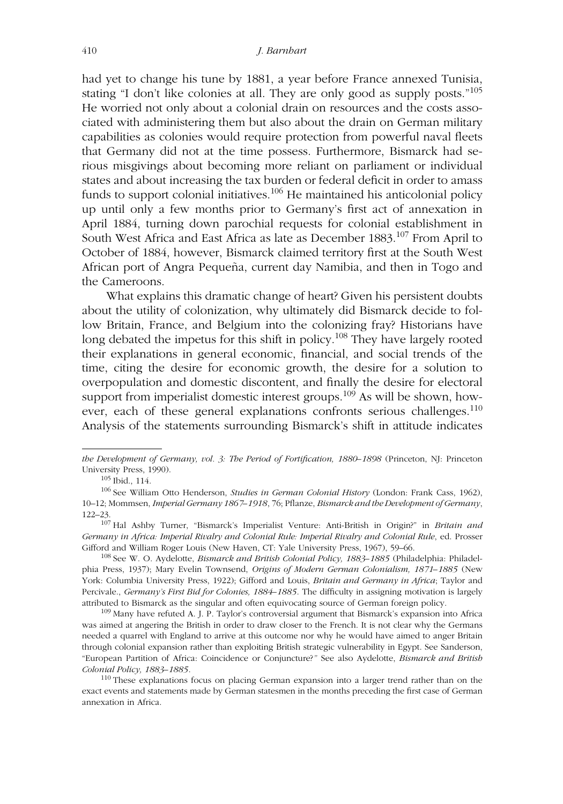had yet to change his tune by 1881, a year before France annexed Tunisia, stating "I don't like colonies at all. They are only good as supply posts."<sup>105</sup> He worried not only about a colonial drain on resources and the costs associated with administering them but also about the drain on German military capabilities as colonies would require protection from powerful naval fleets that Germany did not at the time possess. Furthermore, Bismarck had serious misgivings about becoming more reliant on parliament or individual states and about increasing the tax burden or federal deficit in order to amass funds to support colonial initiatives.<sup>106</sup> He maintained his anticolonial policy up until only a few months prior to Germany's first act of annexation in April 1884, turning down parochial requests for colonial establishment in South West Africa and East Africa as late as December 1883.<sup>107</sup> From April to October of 1884, however, Bismarck claimed territory first at the South West African port of Angra Pequeña, current day Namibia, and then in Togo and the Cameroons.

What explains this dramatic change of heart? Given his persistent doubts about the utility of colonization, why ultimately did Bismarck decide to follow Britain, France, and Belgium into the colonizing fray? Historians have long debated the impetus for this shift in policy.<sup>108</sup> They have largely rooted their explanations in general economic, financial, and social trends of the time, citing the desire for economic growth, the desire for a solution to overpopulation and domestic discontent, and finally the desire for electoral support from imperialist domestic interest groups.<sup>109</sup> As will be shown, however, each of these general explanations confronts serious challenges.<sup>110</sup> Analysis of the statements surrounding Bismarck's shift in attitude indicates

the Development of Germany, vol. 3: The Period of Fortification, 1880–1898 (Princeton, NJ: Princeton University Press, 1990).

<sup>105</sup> Ibid., 114.

<sup>106</sup> See William Otto Henderson, *Studies in German Colonial History* (London: Frank Cass, 1962), 10–12; Mommsen, *Imperial Germany 1867–1918*, 76; Pflanze, *Bismarck and the Development of Germany*, 122–23.

<sup>107</sup> Hal Ashby Turner, "Bismarck's Imperialist Venture: Anti-British in Origin?" in *Britain and Germany in Africa: Imperial Rivalry and Colonial Rule: Imperial Rivalry and Colonial Rule*, ed. Prosser Gifford and William Roger Louis (New Haven, CT: Yale University Press, 1967), 59–66.

<sup>108</sup> See W. O. Aydelotte, *Bismarck and British Colonial Policy, 1883–1885* (Philadelphia: Philadelphia Press, 1937); Mary Evelin Townsend, *Origins of Modern German Colonialism, 1871–1885* (New York: Columbia University Press, 1922); Gifford and Louis, *Britain and Germany in Africa*; Taylor and Percivale., *Germany's First Bid for Colonies, 1884–1885*. The difficulty in assigning motivation is largely attributed to Bismarck as the singular and often equivocating source of German foreign policy.

<sup>109</sup> Many have refuted A. J. P. Taylor's controversial argument that Bismarck's expansion into Africa was aimed at angering the British in order to draw closer to the French. It is not clear why the Germans needed a quarrel with England to arrive at this outcome nor why he would have aimed to anger Britain through colonial expansion rather than exploiting British strategic vulnerability in Egypt. See Sanderson, "European Partition of Africa: Coincidence or Conjuncture?*"* See also Aydelotte, *Bismarck and British Colonial Policy, 1883–1885*.

<sup>&</sup>lt;sup>110</sup> These explanations focus on placing German expansion into a larger trend rather than on the exact events and statements made by German statesmen in the months preceding the first case of German annexation in Africa.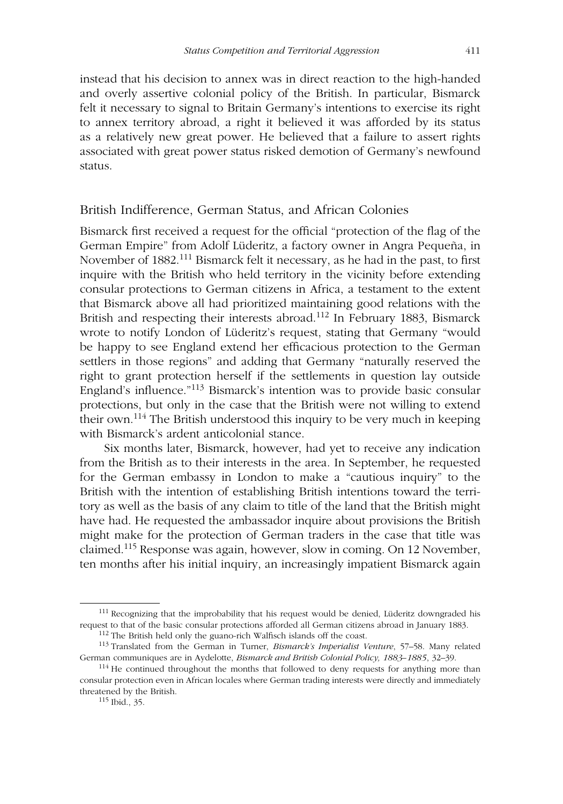instead that his decision to annex was in direct reaction to the high-handed and overly assertive colonial policy of the British. In particular, Bismarck felt it necessary to signal to Britain Germany's intentions to exercise its right to annex territory abroad, a right it believed it was afforded by its status as a relatively new great power. He believed that a failure to assert rights associated with great power status risked demotion of Germany's newfound status.

## British Indifference, German Status, and African Colonies

Bismarck first received a request for the official "protection of the flag of the German Empire" from Adolf Lüderitz, a factory owner in Angra Pequeña, in November of 1882.<sup>111</sup> Bismarck felt it necessary, as he had in the past, to first inquire with the British who held territory in the vicinity before extending consular protections to German citizens in Africa, a testament to the extent that Bismarck above all had prioritized maintaining good relations with the British and respecting their interests abroad.<sup>112</sup> In February 1883, Bismarck wrote to notify London of Lüderitz's request, stating that Germany "would be happy to see England extend her efficacious protection to the German settlers in those regions" and adding that Germany "naturally reserved the right to grant protection herself if the settlements in question lay outside England's influence."<sup>113</sup> Bismarck's intention was to provide basic consular protections, but only in the case that the British were not willing to extend their own.<sup>114</sup> The British understood this inquiry to be very much in keeping with Bismarck's ardent anticolonial stance.

Six months later, Bismarck, however, had yet to receive any indication from the British as to their interests in the area. In September, he requested for the German embassy in London to make a "cautious inquiry" to the British with the intention of establishing British intentions toward the territory as well as the basis of any claim to title of the land that the British might have had. He requested the ambassador inquire about provisions the British might make for the protection of German traders in the case that title was claimed.<sup>115</sup> Response was again, however, slow in coming. On 12 November, ten months after his initial inquiry, an increasingly impatient Bismarck again

<sup>&</sup>lt;sup>111</sup> Recognizing that the improbability that his request would be denied, Lüderitz downgraded his request to that of the basic consular protections afforded all German citizens abroad in January 1883.

<sup>112</sup> The British held only the guano-rich Walfisch islands off the coast.

<sup>113</sup> Translated from the German in Turner, *Bismarck's Imperialist Venture*, 57–58. Many related German communiques are in Aydelotte, *Bismarck and British Colonial Policy, 1883–1885*, 32–39.

<sup>&</sup>lt;sup>114</sup> He continued throughout the months that followed to deny requests for anything more than consular protection even in African locales where German trading interests were directly and immediately threatened by the British.

<sup>115</sup> Ibid., 35.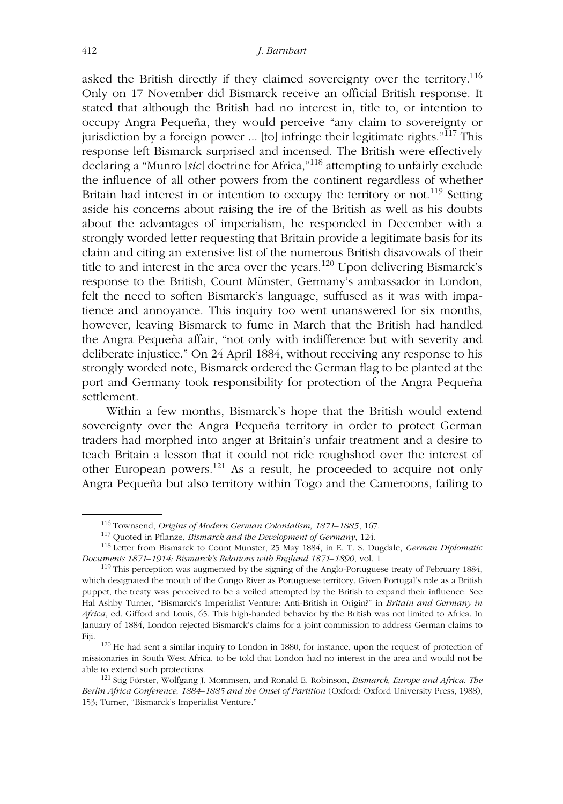asked the British directly if they claimed sovereignty over the territory.116 Only on 17 November did Bismarck receive an official British response. It stated that although the British had no interest in, title to, or intention to occupy Angra Pequeña, they would perceive "any claim to sovereignty or jurisdiction by a foreign power ... [to] infringe their legitimate rights."117 This response left Bismarck surprised and incensed. The British were effectively declaring a "Munro [*sic*] doctrine for Africa,"<sup>118</sup> attempting to unfairly exclude the influence of all other powers from the continent regardless of whether Britain had interest in or intention to occupy the territory or not.<sup>119</sup> Setting aside his concerns about raising the ire of the British as well as his doubts about the advantages of imperialism, he responded in December with a strongly worded letter requesting that Britain provide a legitimate basis for its claim and citing an extensive list of the numerous British disavowals of their title to and interest in the area over the years.<sup>120</sup> Upon delivering Bismarck's response to the British, Count Münster, Germany's ambassador in London, felt the need to soften Bismarck's language, suffused as it was with impatience and annoyance. This inquiry too went unanswered for six months, however, leaving Bismarck to fume in March that the British had handled the Angra Pequeña affair, "not only with indifference but with severity and deliberate injustice." On 24 April 1884, without receiving any response to his strongly worded note, Bismarck ordered the German flag to be planted at the port and Germany took responsibility for protection of the Angra Pequeña settlement.

Within a few months, Bismarck's hope that the British would extend sovereignty over the Angra Pequeña territory in order to protect German traders had morphed into anger at Britain's unfair treatment and a desire to teach Britain a lesson that it could not ride roughshod over the interest of other European powers.<sup>121</sup> As a result, he proceeded to acquire not only Angra Pequeña but also territory within Togo and the Cameroons, failing to

<sup>116</sup> Townsend, *Origins of Modern German Colonialism, 1871–1885*, 167.

<sup>117</sup> Quoted in Pflanze, *Bismarck and the Development of Germany*, 124.

<sup>118</sup> Letter from Bismarck to Count Munster, 25 May 1884, in E. T. S. Dugdale, *German Diplomatic Documents 1871–1914: Bismarck's Relations with England 1871–1890*, vol. 1.

<sup>&</sup>lt;sup>119</sup> This perception was augmented by the signing of the Anglo-Portuguese treaty of February 1884, which designated the mouth of the Congo River as Portuguese territory. Given Portugal's role as a British puppet, the treaty was perceived to be a veiled attempted by the British to expand their influence. See Hal Ashby Turner, "Bismarck's Imperialist Venture: Anti-British in Origin?" in *Britain and Germany in Africa*, ed. Gifford and Louis, 65. This high-handed behavior by the British was not limited to Africa. In January of 1884, London rejected Bismarck's claims for a joint commission to address German claims to Fiji.

<sup>120</sup> He had sent a similar inquiry to London in 1880, for instance, upon the request of protection of missionaries in South West Africa, to be told that London had no interest in the area and would not be able to extend such protections.

<sup>&</sup>lt;sup>121</sup> Stig Förster, Wolfgang J. Mommsen, and Ronald E. Robinson, *Bismarck, Europe and Africa: The Berlin Africa Conference, 1884–1885 and the Onset of Partition* (Oxford: Oxford University Press, 1988), 153; Turner, "Bismarck's Imperialist Venture."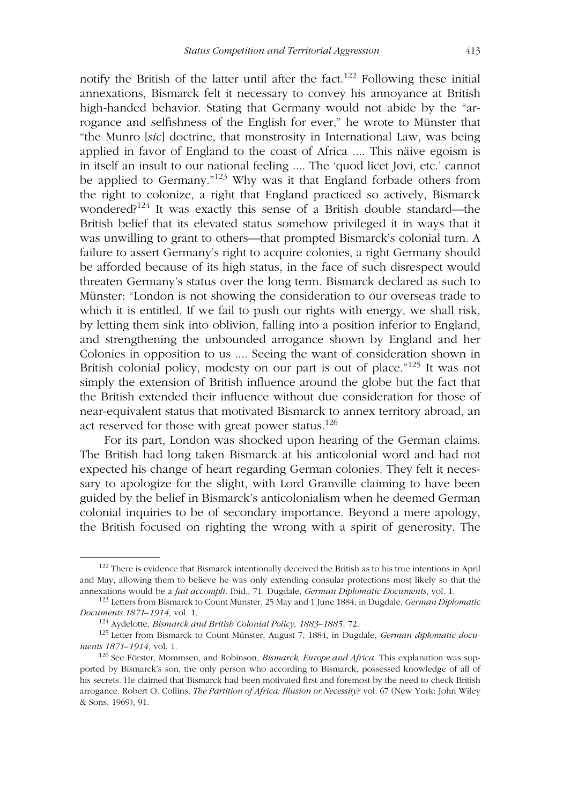notify the British of the latter until after the fact.<sup>122</sup> Following these initial annexations, Bismarck felt it necessary to convey his annoyance at British high-handed behavior. Stating that Germany would not abide by the "arrogance and selfishness of the English for ever," he wrote to Münster that "the Munro [*sic*] doctrine, that monstrosity in International Law, was being applied in favor of England to the coast of Africa .... This näive egoism is in itself an insult to our national feeling .... The 'quod licet Jovi, etc.' cannot be applied to Germany."<sup>123</sup> Why was it that England forbade others from the right to colonize, a right that England practiced so actively, Bismarck wondered?<sup>124</sup> It was exactly this sense of a British double standard—the British belief that its elevated status somehow privileged it in ways that it was unwilling to grant to others—that prompted Bismarck's colonial turn. A failure to assert Germany's right to acquire colonies, a right Germany should be afforded because of its high status, in the face of such disrespect would threaten Germany's status over the long term. Bismarck declared as such to Münster: "London is not showing the consideration to our overseas trade to which it is entitled. If we fail to push our rights with energy, we shall risk, by letting them sink into oblivion, falling into a position inferior to England, and strengthening the unbounded arrogance shown by England and her Colonies in opposition to us .... Seeing the want of consideration shown in British colonial policy, modesty on our part is out of place."<sup>125</sup> It was not simply the extension of British influence around the globe but the fact that the British extended their influence without due consideration for those of near-equivalent status that motivated Bismarck to annex territory abroad, an act reserved for those with great power status.<sup>126</sup>

For its part, London was shocked upon hearing of the German claims. The British had long taken Bismarck at his anticolonial word and had not expected his change of heart regarding German colonies. They felt it necessary to apologize for the slight, with Lord Granville claiming to have been guided by the belief in Bismarck's anticolonialism when he deemed German colonial inquiries to be of secondary importance. Beyond a mere apology, the British focused on righting the wrong with a spirit of generosity. The

<sup>&</sup>lt;sup>122</sup> There is evidence that Bismarck intentionally deceived the British as to his true intentions in April and May, allowing them to believe he was only extending consular protections most likely so that the annexations would be a *fait accompli*. Ibid., 71. Dugdale, *German Diplomatic Documents*, vol. 1.

<sup>123</sup> Letters from Bismarck to Count Munster, 25 May and 1 June 1884, in Dugdale, *German Diplomatic Documents 1871–1914*, vol. 1.

<sup>124</sup> Aydelotte, *Bismarck and British Colonial Policy, 1883–1885*, 72.

<sup>&</sup>lt;sup>125</sup> Letter from Bismarck to Count Münster, August 7, 1884, in Dugdale, *German diplomatic documents 1871–1914*, vol. 1.

 $126$  See Förster, Mommsen, and Robinson, *Bismarck, Europe and Africa*. This explanation was supported by Bismarck's son, the only person who according to Bismarck, possessed knowledge of all of his secrets. He claimed that Bismarck had been motivated first and foremost by the need to check British arrogance. Robert O. Collins, *The Partition of Africa: Illusion or Necessity?* vol. 67 (New York: John Wiley & Sons, 1969), 91.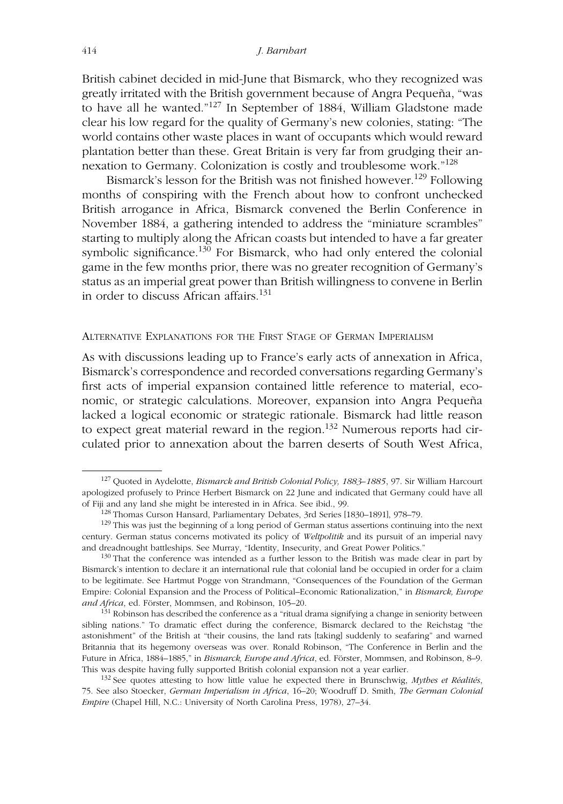British cabinet decided in mid-June that Bismarck, who they recognized was greatly irritated with the British government because of Angra Pequeña, "was to have all he wanted."<sup>127</sup> In September of 1884, William Gladstone made clear his low regard for the quality of Germany's new colonies, stating: "The world contains other waste places in want of occupants which would reward plantation better than these. Great Britain is very far from grudging their annexation to Germany. Colonization is costly and troublesome work."<sup>128</sup>

Bismarck's lesson for the British was not finished however.<sup>129</sup> Following months of conspiring with the French about how to confront unchecked British arrogance in Africa, Bismarck convened the Berlin Conference in November 1884, a gathering intended to address the "miniature scrambles" starting to multiply along the African coasts but intended to have a far greater symbolic significance.<sup>130</sup> For Bismarck, who had only entered the colonial game in the few months prior, there was no greater recognition of Germany's status as an imperial great power than British willingness to convene in Berlin in order to discuss African affairs.<sup>131</sup>

#### ALTERNATIVE EXPLANATIONS FOR THE FIRST STAGE OF GERMAN IMPERIALISM

As with discussions leading up to France's early acts of annexation in Africa, Bismarck's correspondence and recorded conversations regarding Germany's first acts of imperial expansion contained little reference to material, economic, or strategic calculations. Moreover, expansion into Angra Pequeña lacked a logical economic or strategic rationale. Bismarck had little reason to expect great material reward in the region.<sup>132</sup> Numerous reports had circulated prior to annexation about the barren deserts of South West Africa,

<sup>127</sup> Quoted in Aydelotte, *Bismarck and British Colonial Policy, 1883–1885*, 97. Sir William Harcourt apologized profusely to Prince Herbert Bismarck on 22 June and indicated that Germany could have all of Fiji and any land she might be interested in in Africa. See ibid., 99.

<sup>128</sup> Thomas Curson Hansard, Parliamentary Debates, 3rd Series [1830–1891], 978–79.

<sup>&</sup>lt;sup>129</sup> This was just the beginning of a long period of German status assertions continuing into the next century. German status concerns motivated its policy of *Weltpolitik* and its pursuit of an imperial navy and dreadnought battleships. See Murray, "Identity, Insecurity, and Great Power Politics."

<sup>&</sup>lt;sup>130</sup> That the conference was intended as a further lesson to the British was made clear in part by Bismarck's intention to declare it an international rule that colonial land be occupied in order for a claim to be legitimate. See Hartmut Pogge von Strandmann, "Consequences of the Foundation of the German Empire: Colonial Expansion and the Process of Political–Economic Rationalization," in *Bismarck, Europe and Africa*, ed. Förster, Mommsen, and Robinson, 105–20.

<sup>&</sup>lt;sup>131</sup> Robinson has described the conference as a "ritual drama signifying a change in seniority between sibling nations." To dramatic effect during the conference, Bismarck declared to the Reichstag "the astonishment" of the British at "their cousins, the land rats [taking] suddenly to seafaring" and warned Britannia that its hegemony overseas was over. Ronald Robinson, "The Conference in Berlin and the Future in Africa, 1884–1885," in *Bismarck, Europe and Africa*, ed. Förster, Mommsen, and Robinson, 8–9. This was despite having fully supported British colonial expansion not a year earlier.

<sup>&</sup>lt;sup>132</sup> See quotes attesting to how little value he expected there in Brunschwig, Mythes et Réalités, 75. See also Stoecker, *German Imperialism in Africa*, 16–20; Woodruff D. Smith, *The German Colonial Empire* (Chapel Hill, N.C.: University of North Carolina Press, 1978), 27–34.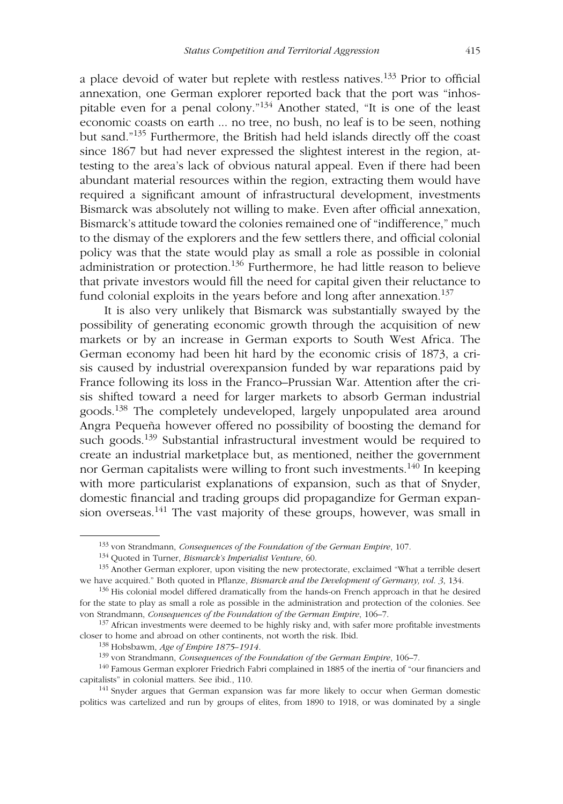a place devoid of water but replete with restless natives.<sup>133</sup> Prior to official annexation, one German explorer reported back that the port was "inhospitable even for a penal colony."<sup>134</sup> Another stated, "It is one of the least economic coasts on earth ... no tree, no bush, no leaf is to be seen, nothing but sand."<sup>135</sup> Furthermore, the British had held islands directly off the coast since 1867 but had never expressed the slightest interest in the region, attesting to the area's lack of obvious natural appeal. Even if there had been abundant material resources within the region, extracting them would have required a significant amount of infrastructural development, investments Bismarck was absolutely not willing to make. Even after official annexation, Bismarck's attitude toward the colonies remained one of "indifference," much to the dismay of the explorers and the few settlers there, and official colonial policy was that the state would play as small a role as possible in colonial administration or protection.<sup>136</sup> Furthermore, he had little reason to believe that private investors would fill the need for capital given their reluctance to fund colonial exploits in the years before and long after annexation.<sup>137</sup>

It is also very unlikely that Bismarck was substantially swayed by the possibility of generating economic growth through the acquisition of new markets or by an increase in German exports to South West Africa. The German economy had been hit hard by the economic crisis of 1873, a crisis caused by industrial overexpansion funded by war reparations paid by France following its loss in the Franco–Prussian War. Attention after the crisis shifted toward a need for larger markets to absorb German industrial goods.<sup>138</sup> The completely undeveloped, largely unpopulated area around Angra Pequeña however offered no possibility of boosting the demand for such goods.<sup>139</sup> Substantial infrastructural investment would be required to create an industrial marketplace but, as mentioned, neither the government nor German capitalists were willing to front such investments.<sup>140</sup> In keeping with more particularist explanations of expansion, such as that of Snyder, domestic financial and trading groups did propagandize for German expansion overseas.<sup>141</sup> The vast majority of these groups, however, was small in

<sup>133</sup> von Strandmann, *Consequences of the Foundation of the German Empire*, 107.

<sup>134</sup> Quoted in Turner, *Bismarck's Imperialist Venture*, 60.

<sup>&</sup>lt;sup>135</sup> Another German explorer, upon visiting the new protectorate, exclaimed "What a terrible desert we have acquired." Both quoted in Pflanze, *Bismarck and the Development of Germany, vol. 3*, 134.

<sup>&</sup>lt;sup>136</sup> His colonial model differed dramatically from the hands-on French approach in that he desired for the state to play as small a role as possible in the administration and protection of the colonies. See von Strandmann, *Consequences of the Foundation of the German Empire*, 106–7.

<sup>&</sup>lt;sup>137</sup> African investments were deemed to be highly risky and, with safer more profitable investments closer to home and abroad on other continents, not worth the risk. Ibid.

<sup>138</sup> Hobsbawm, *Age of Empire 1875–1914*.

<sup>139</sup> von Strandmann, *Consequences of the Foundation of the German Empire*, 106–7.

<sup>&</sup>lt;sup>140</sup> Famous German explorer Friedrich Fabri complained in 1885 of the inertia of "our financiers and capitalists" in colonial matters. See ibid., 110.

<sup>&</sup>lt;sup>141</sup> Snyder argues that German expansion was far more likely to occur when German domestic politics was cartelized and run by groups of elites, from 1890 to 1918, or was dominated by a single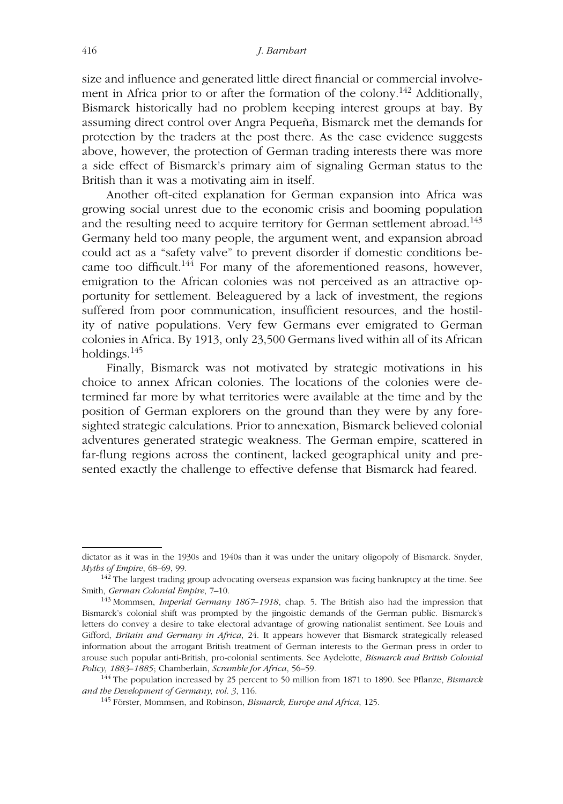#### 416 *J. Barnhart*

size and influence and generated little direct financial or commercial involvement in Africa prior to or after the formation of the colony.<sup>142</sup> Additionally, Bismarck historically had no problem keeping interest groups at bay. By assuming direct control over Angra Pequeña, Bismarck met the demands for protection by the traders at the post there. As the case evidence suggests above, however, the protection of German trading interests there was more a side effect of Bismarck's primary aim of signaling German status to the British than it was a motivating aim in itself.

Another oft-cited explanation for German expansion into Africa was growing social unrest due to the economic crisis and booming population and the resulting need to acquire territory for German settlement abroad.<sup>143</sup> Germany held too many people, the argument went, and expansion abroad could act as a "safety valve" to prevent disorder if domestic conditions became too difficult.<sup>144</sup> For many of the aforementioned reasons, however, emigration to the African colonies was not perceived as an attractive opportunity for settlement. Beleaguered by a lack of investment, the regions suffered from poor communication, insufficient resources, and the hostility of native populations. Very few Germans ever emigrated to German colonies in Africa. By 1913, only 23,500 Germans lived within all of its African holdings. $145$ 

Finally, Bismarck was not motivated by strategic motivations in his choice to annex African colonies. The locations of the colonies were determined far more by what territories were available at the time and by the position of German explorers on the ground than they were by any foresighted strategic calculations. Prior to annexation, Bismarck believed colonial adventures generated strategic weakness. The German empire, scattered in far-flung regions across the continent, lacked geographical unity and presented exactly the challenge to effective defense that Bismarck had feared.

dictator as it was in the 1930s and 1940s than it was under the unitary oligopoly of Bismarck. Snyder, *Myths of Empire*, 68–69, 99.

<sup>&</sup>lt;sup>142</sup> The largest trading group advocating overseas expansion was facing bankruptcy at the time. See Smith, *German Colonial Empire*, 7–10.

<sup>143</sup> Mommsen, *Imperial Germany 1867–1918*, chap. 5. The British also had the impression that Bismarck's colonial shift was prompted by the jingoistic demands of the German public. Bismarck's letters do convey a desire to take electoral advantage of growing nationalist sentiment. See Louis and Gifford, *Britain and Germany in Africa*, 24. It appears however that Bismarck strategically released information about the arrogant British treatment of German interests to the German press in order to arouse such popular anti-British, pro-colonial sentiments. See Aydelotte, *Bismarck and British Colonial Policy, 1883–1885*; Chamberlain, *Scramble for Africa*, 56–59.

<sup>144</sup> The population increased by 25 percent to 50 million from 1871 to 1890. See Pflanze, *Bismarck and the Development of Germany, vol. 3*, 116.

<sup>&</sup>lt;sup>145</sup> Förster, Mommsen, and Robinson, *Bismarck, Europe and Africa*, 125.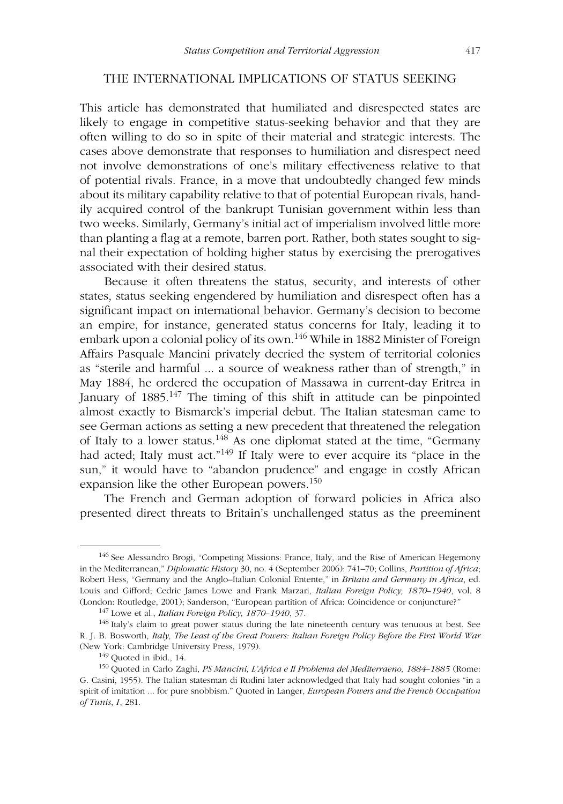#### THE INTERNATIONAL IMPLICATIONS OF STATUS SEEKING

This article has demonstrated that humiliated and disrespected states are likely to engage in competitive status-seeking behavior and that they are often willing to do so in spite of their material and strategic interests. The cases above demonstrate that responses to humiliation and disrespect need not involve demonstrations of one's military effectiveness relative to that of potential rivals. France, in a move that undoubtedly changed few minds about its military capability relative to that of potential European rivals, handily acquired control of the bankrupt Tunisian government within less than two weeks. Similarly, Germany's initial act of imperialism involved little more than planting a flag at a remote, barren port. Rather, both states sought to signal their expectation of holding higher status by exercising the prerogatives associated with their desired status.

Because it often threatens the status, security, and interests of other states, status seeking engendered by humiliation and disrespect often has a significant impact on international behavior. Germany's decision to become an empire, for instance, generated status concerns for Italy, leading it to embark upon a colonial policy of its own.<sup>146</sup> While in 1882 Minister of Foreign Affairs Pasquale Mancini privately decried the system of territorial colonies as "sterile and harmful ... a source of weakness rather than of strength," in May 1884, he ordered the occupation of Massawa in current-day Eritrea in January of  $1885<sup>147</sup>$ . The timing of this shift in attitude can be pinpointed almost exactly to Bismarck's imperial debut. The Italian statesman came to see German actions as setting a new precedent that threatened the relegation of Italy to a lower status.<sup>148</sup> As one diplomat stated at the time, "Germany" had acted; Italy must act."<sup>149</sup> If Italy were to ever acquire its "place in the sun," it would have to "abandon prudence" and engage in costly African expansion like the other European powers.<sup>150</sup>

The French and German adoption of forward policies in Africa also presented direct threats to Britain's unchallenged status as the preeminent

<sup>&</sup>lt;sup>146</sup> See Alessandro Brogi, "Competing Missions: France, Italy, and the Rise of American Hegemony in the Mediterranean," *Diplomatic History* 30, no. 4 (September 2006): 741–70; Collins, *Partition of Africa*; Robert Hess, "Germany and the Anglo–Italian Colonial Entente," in *Britain and Germany in Africa*, ed. Louis and Gifford; Cedric James Lowe and Frank Marzari, *Italian Foreign Policy, 1870–1940*, vol. 8 (London: Routledge, 2001); Sanderson, "European partition of Africa: Coincidence or conjuncture?*"*

<sup>147</sup> Lowe et al., *Italian Foreign Policy, 1870–1940*, 37.

<sup>&</sup>lt;sup>148</sup> Italy's claim to great power status during the late nineteenth century was tenuous at best. See R. J. B. Bosworth, *Italy, The Least of the Great Powers: Italian Foreign Policy Before the First World War* (New York: Cambridge University Press, 1979).

 $149$  Quoted in ibid., 14.

<sup>150</sup> Quoted in Carlo Zaghi, *PS Mancini, L'Africa e Il Problema del Mediterraeno, 1884–1885* (Rome: G. Casini, 1955). The Italian statesman di Rudini later acknowledged that Italy had sought colonies "in a spirit of imitation ... for pure snobbism." Quoted in Langer, *European Powers and the French Occupation of Tunis*, *I*, 281.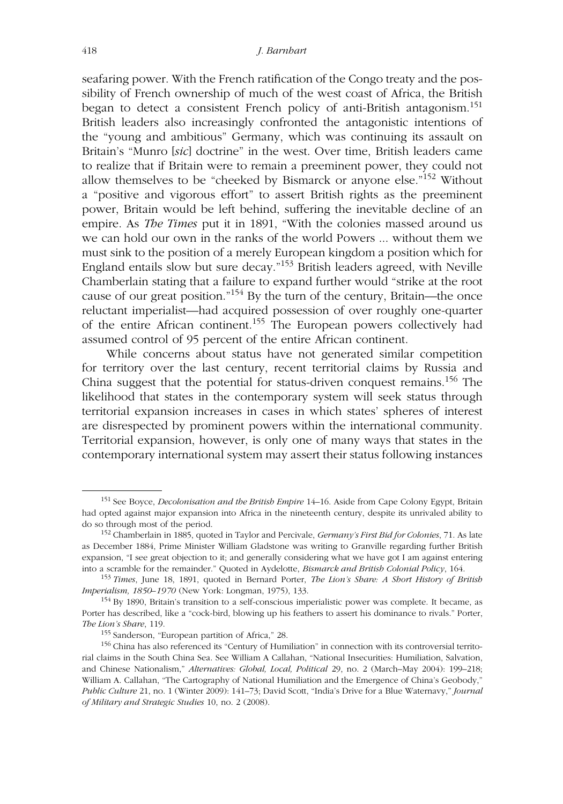seafaring power. With the French ratification of the Congo treaty and the possibility of French ownership of much of the west coast of Africa, the British began to detect a consistent French policy of anti-British antagonism.<sup>151</sup> British leaders also increasingly confronted the antagonistic intentions of the "young and ambitious" Germany, which was continuing its assault on Britain's "Munro [*sic*] doctrine" in the west. Over time, British leaders came to realize that if Britain were to remain a preeminent power, they could not allow themselves to be "cheeked by Bismarck or anyone else."<sup>152</sup> Without a "positive and vigorous effort" to assert British rights as the preeminent power, Britain would be left behind, suffering the inevitable decline of an empire. As *The Times* put it in 1891, "With the colonies massed around us we can hold our own in the ranks of the world Powers ... without them we must sink to the position of a merely European kingdom a position which for England entails slow but sure decay."153 British leaders agreed, with Neville Chamberlain stating that a failure to expand further would "strike at the root cause of our great position."<sup>154</sup> By the turn of the century, Britain—the once reluctant imperialist—had acquired possession of over roughly one-quarter of the entire African continent.<sup>155</sup> The European powers collectively had assumed control of 95 percent of the entire African continent.

While concerns about status have not generated similar competition for territory over the last century, recent territorial claims by Russia and China suggest that the potential for status-driven conquest remains.<sup>156</sup> The likelihood that states in the contemporary system will seek status through territorial expansion increases in cases in which states' spheres of interest are disrespected by prominent powers within the international community. Territorial expansion, however, is only one of many ways that states in the contemporary international system may assert their status following instances

<sup>151</sup> See Boyce, *Decolonisation and the British Empire* 14–16. Aside from Cape Colony Egypt, Britain had opted against major expansion into Africa in the nineteenth century, despite its unrivaled ability to do so through most of the period.

<sup>152</sup> Chamberlain in 1885, quoted in Taylor and Percivale, *Germany's First Bid for Colonies*, 71. As late as December 1884, Prime Minister William Gladstone was writing to Granville regarding further British expansion, "I see great objection to it; and generally considering what we have got I am against entering into a scramble for the remainder." Quoted in Aydelotte, *Bismarck and British Colonial Policy*, 164.

<sup>153</sup> *Times*, June 18, 1891, quoted in Bernard Porter, *The Lion's Share: A Short History of British Imperialism, 1850–1970* (New York: Longman, 1975), 133.

<sup>&</sup>lt;sup>154</sup> By 1890, Britain's transition to a self-conscious imperialistic power was complete. It became, as Porter has described, like a "cock-bird, blowing up his feathers to assert his dominance to rivals." Porter, *The Lion's Share*, 119.

<sup>155</sup> Sanderson, "European partition of Africa," 28.

<sup>156</sup> China has also referenced its "Century of Humiliation" in connection with its controversial territorial claims in the South China Sea. See William A Callahan, "National Insecurities: Humiliation, Salvation, and Chinese Nationalism," *Alternatives: Global, Local, Political* 29, no. 2 (March–May 2004): 199–218; William A. Callahan, "The Cartography of National Humiliation and the Emergence of China's Geobody," *Public Culture* 21, no. 1 (Winter 2009): 141–73; David Scott, "India's Drive for a Blue Waternavy," *Journal of Military and Strategic Studies* 10, no. 2 (2008).